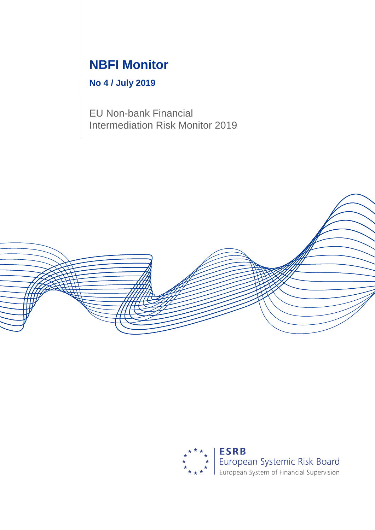# **NBFI Monitor**

# **No 4 / July 2019**

EU Non-bank Financial Intermediation Risk Monitor 2019



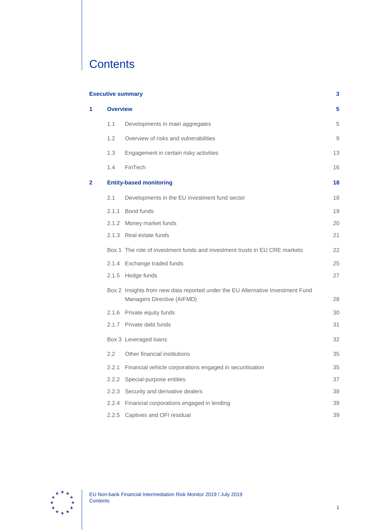# **Contents**

|   |       | <b>Executive summary</b>                                                                                     | 3  |  |  |  |  |  |  |
|---|-------|--------------------------------------------------------------------------------------------------------------|----|--|--|--|--|--|--|
| 1 |       | <b>Overview</b>                                                                                              |    |  |  |  |  |  |  |
|   | 1.1   | Developments in main aggregates                                                                              | 5  |  |  |  |  |  |  |
|   | 1.2   | Overview of risks and vulnerabilities                                                                        | 9  |  |  |  |  |  |  |
|   | 1.3   | Engagement in certain risky activities                                                                       | 13 |  |  |  |  |  |  |
|   | 1.4   | FinTech                                                                                                      | 16 |  |  |  |  |  |  |
| 2 |       | <b>Entity-based monitoring</b>                                                                               | 18 |  |  |  |  |  |  |
|   | 2.1   | Developments in the EU investment fund sector                                                                | 18 |  |  |  |  |  |  |
|   | 2.1.1 | Bond funds                                                                                                   | 19 |  |  |  |  |  |  |
|   | 2.1.2 | Money market funds                                                                                           | 20 |  |  |  |  |  |  |
|   |       | 2.1.3 Real estate funds                                                                                      | 21 |  |  |  |  |  |  |
|   |       | Box 1 The role of investment funds and investment trusts in EU CRE markets                                   | 22 |  |  |  |  |  |  |
|   |       | 2.1.4 Exchange traded funds                                                                                  | 25 |  |  |  |  |  |  |
|   |       | 2.1.5 Hedge funds                                                                                            | 27 |  |  |  |  |  |  |
|   |       | Box 2 Insights from new data reported under the EU Alternative Investment Fund<br>Managers Directive (AIFMD) | 28 |  |  |  |  |  |  |
|   |       | 2.1.6 Private equity funds                                                                                   | 30 |  |  |  |  |  |  |
|   |       | 2.1.7 Private debt funds                                                                                     | 31 |  |  |  |  |  |  |
|   |       | Box 3 Leveraged loans                                                                                        | 32 |  |  |  |  |  |  |
|   | 2.2   | Other financial institutions                                                                                 | 35 |  |  |  |  |  |  |
|   | 2.2.1 | Financial vehicle corporations engaged in securitisation                                                     | 35 |  |  |  |  |  |  |
|   |       | 2.2.2 Special-purpose entities                                                                               | 37 |  |  |  |  |  |  |
|   | 2.2.3 | Security and derivative dealers                                                                              | 38 |  |  |  |  |  |  |
|   | 2.2.4 | Financial corporations engaged in lending                                                                    | 39 |  |  |  |  |  |  |
|   | 2.2.5 | Captives and OFI residual                                                                                    | 39 |  |  |  |  |  |  |

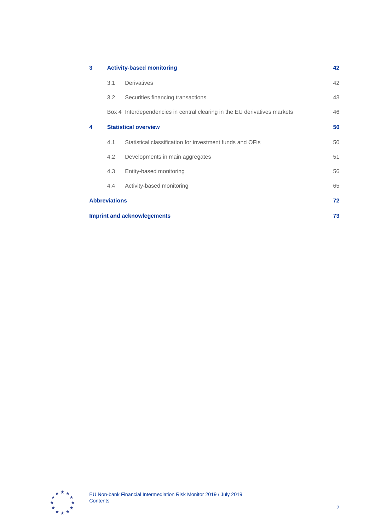| 3                    |                                          | <b>Activity-based monitoring</b>                                          | 42 |  |  |  |  |
|----------------------|------------------------------------------|---------------------------------------------------------------------------|----|--|--|--|--|
|                      | 3.1                                      | Derivatives                                                               | 42 |  |  |  |  |
|                      | 3.2                                      | Securities financing transactions                                         | 43 |  |  |  |  |
|                      |                                          | Box 4 Interdependencies in central clearing in the EU derivatives markets | 46 |  |  |  |  |
| 4                    | <b>Statistical overview</b>              |                                                                           |    |  |  |  |  |
|                      | 4.1                                      | Statistical classification for investment funds and OFIs                  | 50 |  |  |  |  |
|                      | 4.2                                      | Developments in main aggregates                                           | 51 |  |  |  |  |
|                      | 4.3                                      | Entity-based monitoring                                                   | 56 |  |  |  |  |
|                      | $4.4^{\circ}$                            | Activity-based monitoring                                                 | 65 |  |  |  |  |
| <b>Abbreviations</b> |                                          |                                                                           |    |  |  |  |  |
|                      | <b>Imprint and acknowlegements</b><br>73 |                                                                           |    |  |  |  |  |

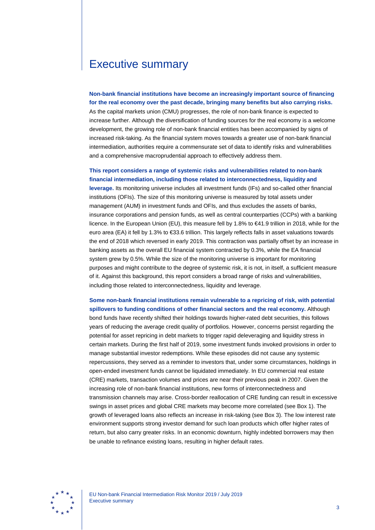# <span id="page-3-0"></span>Executive summary

**Non-bank financial institutions have become an increasingly important source of financing for the real economy over the past decade, bringing many benefits but also carrying risks.**

As the capital markets union (CMU) progresses, the role of non-bank finance is expected to increase further. Although the diversification of funding sources for the real economy is a welcome development, the growing role of non-bank financial entities has been accompanied by signs of increased risk-taking. As the financial system moves towards a greater use of non-bank financial intermediation, authorities require a commensurate set of data to identify risks and vulnerabilities and a comprehensive macroprudential approach to effectively address them.

### **This report considers a range of systemic risks and vulnerabilities related to non-bank financial intermediation, including those related to interconnectedness, liquidity and**

**leverage.** Its monitoring universe includes all investment funds (IFs) and so-called other financial institutions (OFIs). The size of this monitoring universe is measured by total assets under management (AUM) in investment funds and OFIs, and thus excludes the assets of banks, insurance corporations and pension funds, as well as central counterparties (CCPs) with a banking licence. In the European Union (EU), this measure fell by 1.8% to €41.9 trillion in 2018, while for the euro area (EA) it fell by 1.3% to €33.6 trillion. This largely reflects falls in asset valuations towards the end of 2018 which reversed in early 2019. This contraction was partially offset by an increase in banking assets as the overall EU financial system contracted by 0.3%, while the EA financial system grew by 0.5%. While the size of the monitoring universe is important for monitoring purposes and might contribute to the degree of systemic risk, it is not, in itself, a sufficient measure of it. Against this background, this report considers a broad range of risks and vulnerabilities, including those related to interconnectedness, liquidity and leverage.

**Some non-bank financial institutions remain vulnerable to a repricing of risk, with potential spillovers to funding conditions of other financial sectors and the real economy.** Although bond funds have recently shifted their holdings towards higher-rated debt securities, this follows years of reducing the average credit quality of portfolios. However, concerns persist regarding the potential for asset repricing in debt markets to trigger rapid deleveraging and liquidity stress in certain markets. During the first half of 2019, some investment funds invoked provisions in order to manage substantial investor redemptions. While these episodes did not cause any systemic repercussions, they served as a reminder to investors that, under some circumstances, holdings in open-ended investment funds cannot be liquidated immediately. In EU commercial real estate (CRE) markets, transaction volumes and prices are near their previous peak in 2007. Given the increasing role of non-bank financial institutions, new forms of interconnectedness and transmission channels may arise. Cross-border reallocation of CRE funding can result in excessive swings in asset prices and global CRE markets may become more correlated (see Box 1). The growth of leveraged loans also reflects an increase in risk-taking (see Box 3). The low interest rate environment supports strong investor demand for such loan products which offer higher rates of return, but also carry greater risks. In an economic downturn, highly indebted borrowers may then be unable to refinance existing loans, resulting in higher default rates.

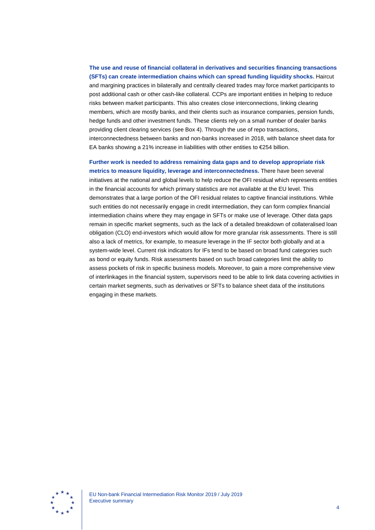**The use and reuse of financial collateral in derivatives and securities financing transactions (SFTs) can create intermediation chains which can spread funding liquidity shocks.** Haircut and margining practices in bilaterally and centrally cleared trades may force market participants to post additional cash or other cash-like collateral. CCPs are important entities in helping to reduce risks between market participants. This also creates close interconnections, linking clearing members, which are mostly banks, and their clients such as insurance companies, pension funds, hedge funds and other investment funds. These clients rely on a small number of dealer banks providing client clearing services (see Box 4). Through the use of repo transactions, interconnectedness between banks and non-banks increased in 2018, with balance sheet data for EA banks showing a 21% increase in liabilities with other entities to €254 billion.

**Further work is needed to address remaining data gaps and to develop appropriate risk metrics to measure liquidity, leverage and interconnectedness.** There have been several initiatives at the national and global levels to help reduce the OFI residual which represents entities in the financial accounts for which primary statistics are not available at the EU level. This demonstrates that a large portion of the OFI residual relates to captive financial institutions. While such entities do not necessarily engage in credit intermediation, they can form complex financial intermediation chains where they may engage in SFTs or make use of leverage. Other data gaps remain in specific market segments, such as the lack of a detailed breakdown of collateralised loan obligation (CLO) end-investors which would allow for more granular risk assessments. There is still also a lack of metrics, for example, to measure leverage in the IF sector both globally and at a system-wide level. Current risk indicators for IFs tend to be based on broad fund categories such as bond or equity funds. Risk assessments based on such broad categories limit the ability to assess pockets of risk in specific business models. Moreover, to gain a more comprehensive view of interlinkages in the financial system, supervisors need to be able to link data covering activities in certain market segments, such as derivatives or SFTs to balance sheet data of the institutions engaging in these markets.

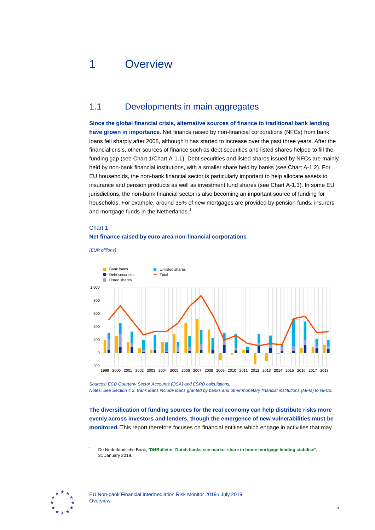# <span id="page-5-0"></span>1 Overview

# <span id="page-5-1"></span>1.1 Developments in main aggregates

**Since the global financial crisis, alternative sources of finance to traditional bank lending have grown in importance.** Net finance raised by non-financial corporations (NFCs) from bank loans fell sharply after 2008, although it has started to increase over the past three years. After the financial crisis, other sources of finance such as debt securities and listed shares helped to fill the funding gap (see Chart 1/Chart A-1.1). Debt securities and listed shares issued by NFCs are mainly held by non-bank financial institutions, with a smaller share held by banks (see Chart A-1.2). For EU households, the non-bank financial sector is particularly important to help allocate assets to insurance and pension products as well as investment fund shares (see Chart A-1.3). In some EU jurisdictions, the non-bank financial sector is also becoming an important source of funding for households. For example, around 35% of new mortgages are provided by pension funds, insurers and mortgage funds in the Netherlands.<sup>[1](#page-5-2)</sup>

#### Chart 1

### **Net finance raised by euro area non-financial corporations**





*Sources: ECB Quarterly Sector Accounts (QSA) and ESRB calculations. Notes: See Section 4.2. Bank loans include loans granted by banks and other monetary financial institutions (MFIs) to NFCs.*

**The diversification of funding sources for the real economy can help distribute risks more evenly across investors and lenders, though the emergence of new vulnerabilities must be monitored.** This report therefore focuses on financial entities which engage in activities that may

<span id="page-5-2"></span>

<sup>1</sup> De Nederlandsche Bank, "**[DNBulletin: Dutch banks see market share in home mortgage lending stabilise](https://www.dnb.nl/en/news/news-and-archive/DNBulletin2019/dnb381826.jsp)**", 31 January 2019.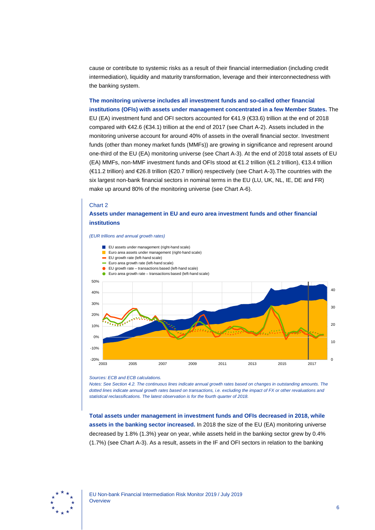cause or contribute to systemic risks as a result of their financial intermediation (including credit intermediation), liquidity and maturity transformation, leverage and their interconnectedness with the banking system.

**The monitoring universe includes all investment funds and so-called other financial institutions (OFIs) with assets under management concentrated in a few Member States.** The EU (EA) investment fund and OFI sectors accounted for €41.9 (€33.6) trillion at the end of 2018 compared with €42.6 (€34.1) trillion at the end of 2017 (see Chart A-2). Assets included in the monitoring universe account for around 40% of assets in the overall financial sector. Investment funds (other than money market funds (MMFs)) are growing in significance and represent around one-third of the EU (EA) monitoring universe (see Chart A-3). At the end of 2018 total assets of EU (EA) MMFs, non-MMF investment funds and OFIs stood at €1.2 trillion (€1.2 trillion), €13.4 trillion (€11.2 trillion) and €26.8 trillion (€20.7 trillion) respectively (see Chart A-3).The countries with the six largest non-bank financial sectors in nominal terms in the EU (LU, UK, NL, IE, DE and FR) make up around 80% of the monitoring universe (see Chart A-6).

### Chart 2

### **Assets under management in EU and euro area investment funds and other financial institutions**

*(EUR trillions and annual growth rates)*



#### *Sources: ECB and ECB calculations.*

*Notes: See Section 4.2. The continuous lines indicate annual growth rates based on changes in outstanding amounts. The dotted lines indicate annual growth rates based on transactions, i.e. excluding the impact of FX or other revaluations and statistical reclassifications. The latest observation is for the fourth quarter of 2018.*

**Total assets under management in investment funds and OFIs decreased in 2018, while assets in the banking sector increased.** In 2018 the size of the EU (EA) monitoring universe decreased by 1.8% (1.3%) year on year, while assets held in the banking sector grew by 0.4% (1.7%) (see Chart A-3). As a result, assets in the IF and OFI sectors in relation to the banking

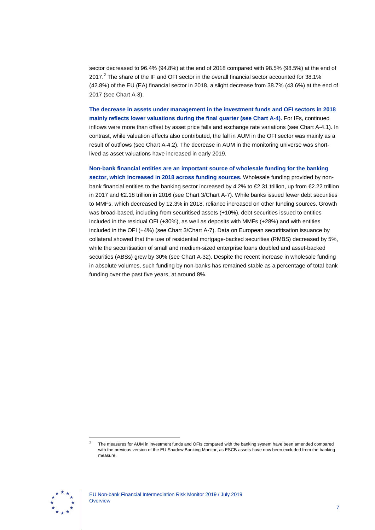sector decreased to 96.4% (94.8%) at the end of 2018 compared with 98.5% (98.5%) at the end of  $2017<sup>2</sup>$  $2017<sup>2</sup>$  The share of the IF and OFI sector in the overall financial sector accounted for 38.1% (42.8%) of the EU (EA) financial sector in 2018, a slight decrease from 38.7% (43.6%) at the end of 2017 (see Chart A-3).

**The decrease in assets under management in the investment funds and OFI sectors in 2018 mainly reflects lower valuations during the final quarter (see Chart A-4).** For IFs, continued inflows were more than offset by asset price falls and exchange rate variations (see Chart A-4.1). In contrast, while valuation effects also contributed, the fall in AUM in the OFI sector was mainly as a result of outflows (see Chart A-4.2). The decrease in AUM in the monitoring universe was shortlived as asset valuations have increased in early 2019.

**Non-bank financial entities are an important source of wholesale funding for the banking sector, which increased in 2018 across funding sources.** Wholesale funding provided by nonbank financial entities to the banking sector increased by 4.2% to €2.31 trillion, up from €2.22 trillion in 2017 and €2.18 trillion in 2016 (see Chart 3/Chart A-7). While banks issued fewer debt securities to MMFs, which decreased by 12.3% in 2018, reliance increased on other funding sources. Growth was broad-based, including from securitised assets (+10%), debt securities issued to entities included in the residual OFI (+30%), as well as deposits with MMFs (+28%) and with entities included in the OFI (+4%) (see Chart 3/Chart A-7). Data on European securitisation issuance by collateral showed that the use of residential mortgage-backed securities (RMBS) decreased by 5%, while the securitisation of small and medium-sized enterprise loans doubled and asset-backed securities (ABSs) grew by 30% (see Chart A-32). Despite the recent increase in wholesale funding in absolute volumes, such funding by non-banks has remained stable as a percentage of total bank funding over the past five years, at around 8%.

<span id="page-7-0"></span>

<sup>2</sup> The measures for AUM in investment funds and OFIs compared with the banking system have been amended compared with the previous version of the EU Shadow Banking Monitor, as ESCB assets have now been excluded from the banking measure.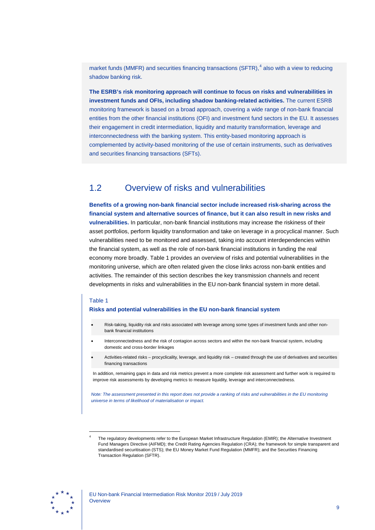market funds (MMFR) and securities financing transactions (SFTR),<sup>[4](#page-9-1)</sup> also with a view to reducing shadow banking risk.

**The ESRB's risk monitoring approach will continue to focus on risks and vulnerabilities in investment funds and OFIs, including shadow banking-related activities.** The current ESRB monitoring framework is based on a broad approach, covering a wide range of non-bank financial entities from the other financial institutions (OFI) and investment fund sectors in the EU. It assesses their engagement in credit intermediation, liquidity and maturity transformation, leverage and interconnectedness with the banking system. This entity-based monitoring approach is complemented by activity-based monitoring of the use of certain instruments, such as derivatives and securities financing transactions (SFTs).

# <span id="page-9-0"></span>1.2 Overview of risks and vulnerabilities

**Benefits of a growing non-bank financial sector include increased risk-sharing across the financial system and alternative sources of finance, but it can also result in new risks and vulnerabilities.** In particular, non-bank financial institutions may increase the riskiness of their asset portfolios, perform liquidity transformation and take on leverage in a procyclical manner. Such vulnerabilities need to be monitored and assessed, taking into account interdependencies within the financial system, as well as the role of non-bank financial institutions in funding the real economy more broadly. Table 1 provides an overview of risks and potential vulnerabilities in the monitoring universe, which are often related given the close links across non-bank entities and activities. The remainder of this section describes the key transmission channels and recent developments in risks and vulnerabilities in the EU non-bank financial system in more detail.

### Table 1

-

#### **Risks and potential vulnerabilities in the EU non-bank financial system**

- Risk-taking, liquidity risk and risks associated with leverage among some types of investment funds and other nonbank financial institutions
- Interconnectedness and the risk of contagion across sectors and within the non-bank financial system, including domestic and cross-border linkages
- Activities-related risks procyclicality, leverage, and liquidity risk created through the use of derivatives and securities financing transactions

In addition, remaining gaps in data and risk metrics prevent a more complete risk assessment and further work is required to improve risk assessments by developing metrics to measure liquidity, leverage and interconnectedness.

*Note: The assessment presented in this report does not provide a ranking of risks and vulnerabilities in the EU monitoring universe in terms of likelihood of materialisation or impact.*

<span id="page-9-1"></span>

The regulatory developments refer to the European Market Infrastructure Regulation (EMIR); the Alternative Investment Fund Managers Directive (AIFMD); the Credit Rating Agencies Regulation (CRA); the framework for simple transparent and standardised securitisation (STS); the EU Money Market Fund Regulation (MMFR); and the Securities Financing Transaction Regulation (SFTR).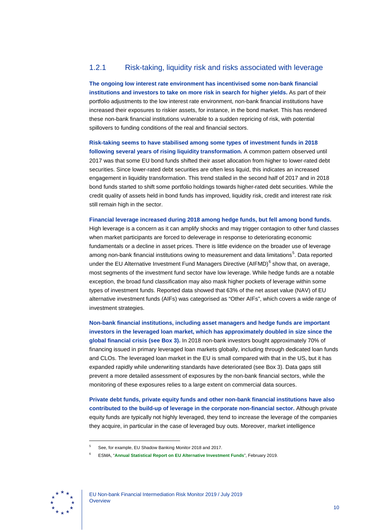# 1.2.1 Risk-taking, liquidity risk and risks associated with leverage

**The ongoing low interest rate environment has incentivised some non-bank financial institutions and investors to take on more risk in search for higher yields.** As part of their portfolio adjustments to the low interest rate environment, non-bank financial institutions have increased their exposures to riskier assets, for instance, in the bond market. This has rendered these non-bank financial institutions vulnerable to a sudden repricing of risk, with potential spillovers to funding conditions of the real and financial sectors.

**Risk-taking seems to have stabilised among some types of investment funds in 2018 following several years of rising liquidity transformation.** A common pattern observed until 2017 was that some EU bond funds shifted their asset allocation from higher to lower-rated debt securities. Since lower-rated debt securities are often less liquid, this indicates an increased engagement in liquidity transformation. This trend stalled in the second half of 2017 and in 2018 bond funds started to shift some portfolio holdings towards higher-rated debt securities. While the credit quality of assets held in bond funds has improved, liquidity risk, credit and interest rate risk still remain high in the sector.

**Financial leverage increased during 2018 among hedge funds, but fell among bond funds.** High leverage is a concern as it can amplify shocks and may trigger contagion to other fund classes when market participants are forced to deleverage in response to deteriorating economic fundamentals or a decline in asset prices. There is little evidence on the broader use of leverage among non-bank financial institutions owing to measurement and data limitations<sup>[5](#page-10-0)</sup>. Data reported under the EU Alternative Investment Fund Managers Directive (AIFMD)<sup>[6](#page-10-1)</sup> show that, on average, most segments of the investment fund sector have low leverage. While hedge funds are a notable exception, the broad fund classification may also mask higher pockets of leverage within some types of investment funds. Reported data showed that 63% of the net asset value (NAV) of EU alternative investment funds (AIFs) was categorised as "Other AIFs", which covers a wide range of investment strategies.

**Non-bank financial institutions, including asset managers and hedge funds are important investors in the leveraged loan market, which has approximately doubled in size since the global financial crisis (see Box 3).** In 2018 non-bank investors bought approximately 70% of financing issued in primary leveraged loan markets globally, including through dedicated loan funds and CLOs. The leveraged loan market in the EU is small compared with that in the US, but it has expanded rapidly while underwriting standards have deteriorated (see Box 3). Data gaps still prevent a more detailed assessment of exposures by the non-bank financial sectors, while the monitoring of these exposures relies to a large extent on commercial data sources.

**Private debt funds, private equity funds and other non-bank financial institutions have also contributed to the build-up of leverage in the corporate non-financial sector.** Although private equity funds are typically not highly leveraged, they tend to increase the leverage of the companies they acquire, in particular in the case of leveraged buy outs. Moreover, market intelligence

<span id="page-10-1"></span><span id="page-10-0"></span>

<sup>5</sup> See, for example, EU Shadow Banking Monitor 2018 and 2017.

<sup>6</sup> ESMA, "**[Annual Statistical Report on EU Alternative Investment Funds](https://www.esma.europa.eu/sites/default/files/library/esma50-165-748_aif_report_2019.pdf)**", February 2019.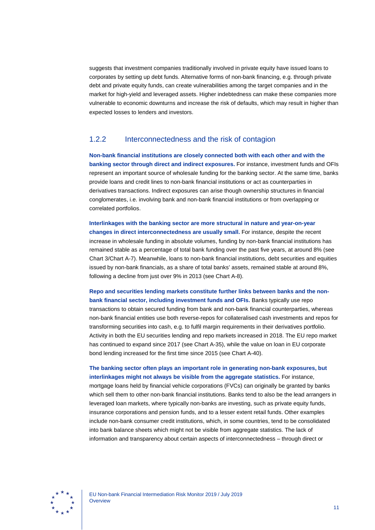suggests that investment companies traditionally involved in private equity have issued loans to corporates by setting up debt funds. Alternative forms of non-bank financing, e.g. through private debt and private equity funds, can create vulnerabilities among the target companies and in the market for high-yield and leveraged assets. Higher indebtedness can make these companies more vulnerable to economic downturns and increase the risk of defaults, which may result in higher than expected losses to lenders and investors.

## 1.2.2 Interconnectedness and the risk of contagion

**Non-bank financial institutions are closely connected both with each other and with the banking sector through direct and indirect exposures.** For instance, investment funds and OFIs represent an important source of wholesale funding for the banking sector. At the same time, banks provide loans and credit lines to non-bank financial institutions or act as counterparties in derivatives transactions. Indirect exposures can arise though ownership structures in financial conglomerates, i.e. involving bank and non-bank financial institutions or from overlapping or correlated portfolios.

**Interlinkages with the banking sector are more structural in nature and year-on-year changes in direct interconnectedness are usually small.** For instance, despite the recent increase in wholesale funding in absolute volumes, funding by non-bank financial institutions has remained stable as a percentage of total bank funding over the past five years, at around 8% (see Chart 3/Chart A-7). Meanwhile, loans to non-bank financial institutions, debt securities and equities issued by non-bank financials, as a share of total banks' assets, remained stable at around 8%, following a decline from just over 9% in 2013 (see Chart A-8).

**Repo and securities lending markets constitute further links between banks and the nonbank financial sector, including investment funds and OFIs.** Banks typically use repo transactions to obtain secured funding from bank and non-bank financial counterparties, whereas non-bank financial entities use both reverse-repos for collateralised cash investments and repos for transforming securities into cash, e.g. to fulfil margin requirements in their derivatives portfolio. Activity in both the EU securities lending and repo markets increased in 2018. The EU repo market has continued to expand since 2017 (see Chart A-35), while the value on loan in EU corporate bond lending increased for the first time since 2015 (see Chart A-40).

**The banking sector often plays an important role in generating non-bank exposures, but interlinkages might not always be visible from the aggregate statistics.** For instance,

mortgage loans held by financial vehicle corporations (FVCs) can originally be granted by banks which sell them to other non-bank financial institutions. Banks tend to also be the lead arrangers in leveraged loan markets, where typically non-banks are investing, such as private equity funds, insurance corporations and pension funds, and to a lesser extent retail funds. Other examples include non-bank consumer credit institutions, which, in some countries, tend to be consolidated into bank balance sheets which might not be visible from aggregate statistics. The lack of information and transparency about certain aspects of interconnectedness – through direct or

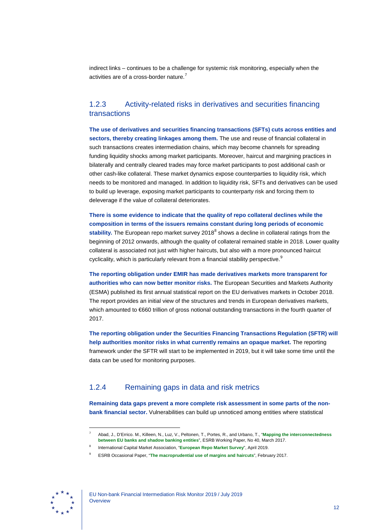indirect links – continues to be a challenge for systemic risk monitoring, especially when the activities are of a cross-border nature.<sup>[7](#page-12-0)</sup>

# 1.2.3 Activity-related risks in derivatives and securities financing transactions

**The use of derivatives and securities financing transactions (SFTs) cuts across entities and sectors, thereby creating linkages among them.** The use and reuse of financial collateral in such transactions creates intermediation chains, which may become channels for spreading funding liquidity shocks among market participants. Moreover, haircut and margining practices in bilaterally and centrally cleared trades may force market participants to post additional cash or other cash-like collateral. These market dynamics expose counterparties to liquidity risk, which needs to be monitored and managed. In addition to liquidity risk, SFTs and derivatives can be used to build up leverage, exposing market participants to counterparty risk and forcing them to deleverage if the value of collateral deteriorates.

**There is some evidence to indicate that the quality of repo collateral declines while the composition in terms of the issuers remains constant during long periods of economic**  stability. The European repo market survey 201[8](#page-12-1)<sup>8</sup> shows a decline in collateral ratings from the beginning of 2012 onwards, although the quality of collateral remained stable in 2018. Lower quality collateral is associated not just with higher haircuts, but also with a more pronounced haircut cyclicality, which is particularly relevant from a financial stability perspective. $^9$  $^9$ 

**The reporting obligation under EMIR has made derivatives markets more transparent for authorities who can now better monitor risks.** The European Securities and Markets Authority (ESMA) published its first annual statistical report on the EU derivatives markets in October 2018. The report provides an initial view of the structures and trends in European derivatives markets, which amounted to €660 trillion of gross notional outstanding transactions in the fourth quarter of 2017.

**The reporting obligation under the Securities Financing Transactions Regulation (SFTR) will help authorities monitor risks in what currently remains an opaque market.** The reporting framework under the SFTR will start to be implemented in 2019, but it will take some time until the data can be used for monitoring purposes.

# 1.2.4 Remaining gaps in data and risk metrics

**Remaining data gaps prevent a more complete risk assessment in some parts of the nonbank financial sector.** Vulnerabilities can build up unnoticed among entities where statistical

<span id="page-12-2"></span><span id="page-12-1"></span><span id="page-12-0"></span>

<sup>7</sup> Abad, J., D'Errico. M., Killeen, N., Luz, V., Peltonen, T., Portes, R., and Urbano, T., "**[Mapping the interconnectedness](https://eba.europa.eu/documents/10180/1431348/Mapping+the+interconnectedness+between+EU+banks+and+shadow+banking+entities_paper.pdf)  [between EU banks and shadow banking entities](https://eba.europa.eu/documents/10180/1431348/Mapping+the+interconnectedness+between+EU+banks+and+shadow+banking+entities_paper.pdf)**", ESRB Working Paper, No 40, March 2017.

<sup>8</sup> International Capital Market Association, "**[European Repo Market Survey](https://www.icmagroup.org/assets/documents/Market-Info/Repo-Market-Surveys/No-36-December-2018/ICMA-European-repo-market-survey-number-36-conducted-December-2018-040419.pdf)**", April 2019.

<sup>9</sup> ESRB Occasional Paper, "**[The macroprudential use of margins and haircuts](https://www.esrb.europa.eu/pub/pdf/reports/170216_macroprudential_use_of_margins_and_haircuts.en.pdf)**", February 2017.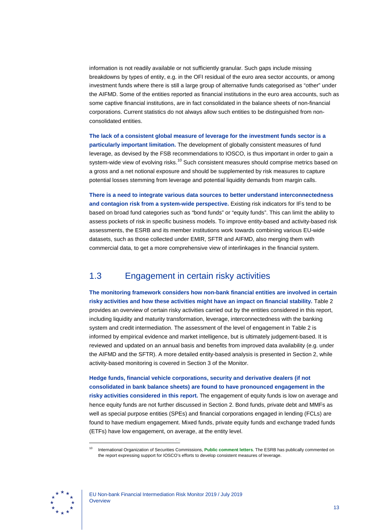information is not readily available or not sufficiently granular. Such gaps include missing breakdowns by types of entity, e.g. in the OFI residual of the euro area sector accounts, or among investment funds where there is still a large group of alternative funds categorised as "other" under the AIFMD. Some of the entities reported as financial institutions in the euro area accounts, such as some captive financial institutions, are in fact consolidated in the balance sheets of non-financial corporations. Current statistics do not always allow such entities to be distinguished from nonconsolidated entities.

**The lack of a consistent global measure of leverage for the investment funds sector is a particularly important limitation.** The development of globally consistent measures of fund leverage, as devised by the FSB recommendations to IOSCO, is thus important in order to gain a system-wide view of evolving risks.<sup>[10](#page-13-1)</sup> Such consistent measures should comprise metrics based on a gross and a net notional exposure and should be supplemented by risk measures to capture potential losses stemming from leverage and potential liquidity demands from margin calls.

**There is a need to integrate various data sources to better understand interconnectedness and contagion risk from a system-wide perspective.** Existing risk indicators for IFs tend to be based on broad fund categories such as "bond funds" or "equity funds". This can limit the ability to assess pockets of risk in specific business models. To improve entity-based and activity-based risk assessments, the ESRB and its member institutions work towards combining various EU-wide datasets, such as those collected under EMIR, SFTR and AIFMD, also merging them with commercial data, to get a more comprehensive view of interlinkages in the financial system.

# <span id="page-13-0"></span>1.3 Engagement in certain risky activities

**The monitoring framework considers how non-bank financial entities are involved in certain risky activities and how these activities might have an impact on financial stability.** Table 2 provides an overview of certain risky activities carried out by the entities considered in this report, including liquidity and maturity transformation, leverage, interconnectedness with the banking system and credit intermediation. The assessment of the level of engagement in Table 2 is informed by empirical evidence and market intelligence, but is ultimately judgement-based. It is reviewed and updated on an annual basis and benefits from improved data availability (e.g. under the AIFMD and the SFTR). A more detailed entity-based analysis is presented in Section 2, while activity-based monitoring is covered in Section 3 of the Monitor.

**Hedge funds, financial vehicle corporations, security and derivative dealers (if not consolidated in bank balance sheets) are found to have pronounced engagement in the risky activities considered in this report.** The engagement of equity funds is low on average and hence equity funds are not further discussed in Section 2. Bond funds, private debt and MMFs as well as special purpose entities (SPEs) and financial corporations engaged in lending (FCLs) are found to have medium engagement. Mixed funds, private equity funds and exchange traded funds (ETFs) have low engagement, on average, at the entity level.

<span id="page-13-1"></span>

<sup>10</sup> International Organization of Securities Commissions, **[Public comment letters](https://www.iosco.org/publications/?subsection=public_comment_letters)**. The ESRB has publically commented on the report expressing support for IOSCO's efforts to develop consistent measures of leverage.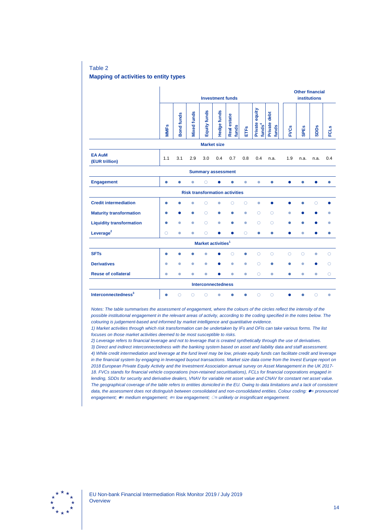Table 2 **Mapping of activities to entity types**

|                                       | <b>Investment funds</b> |                   |                    |              |             |                             |            |                                      |                       | <b>Other financial</b><br><b>institutions</b> |             |             |             |
|---------------------------------------|-------------------------|-------------------|--------------------|--------------|-------------|-----------------------------|------------|--------------------------------------|-----------------------|-----------------------------------------------|-------------|-------------|-------------|
|                                       | <b>MMFs</b>             | <b>Bond funds</b> | <b>Vixed funds</b> | Equity funds | Hedge funds | <b>Real estate</b><br>funds | ETFs       | Private equity<br>funds <sup>4</sup> | Private debt<br>funds | <b>FVCs</b>                                   | <b>SPEs</b> | <b>SDDs</b> | <b>FCLS</b> |
| <b>Market size</b>                    |                         |                   |                    |              |             |                             |            |                                      |                       |                                               |             |             |             |
| <b>EA AuM</b><br>(EUR trillion)       | 1.1                     | 3.1               | 2.9                | 3.0          | 0.4         | 0.7                         | 0.8        | 0.4                                  | n.a.                  | 1.9                                           | n.a.        | n.a.        | 0.4         |
| <b>Summary assessment</b>             |                         |                   |                    |              |             |                             |            |                                      |                       |                                               |             |             |             |
| <b>Engagement</b>                     | $\bullet$               |                   | $\bullet$          | ∩            |             |                             | ۵          | ۰                                    |                       |                                               |             |             |             |
| <b>Risk transformation activities</b> |                         |                   |                    |              |             |                             |            |                                      |                       |                                               |             |             |             |
| <b>Credit intermediation</b>          | $\bullet$               | $\bullet$         | $\bullet$          | О            | $\bullet$   | $\circ$                     | $\circ$    | $\bullet$                            |                       |                                               | ۰           | $\circ$     |             |
| <b>Maturity transformation</b>        | O                       |                   |                    | $\circ$      |             |                             | $\bullet$  | $\circ$                              | $\circ$               | ٠                                             |             |             |             |
| <b>Liquidity transformation</b>       | $\bullet$               | $\bullet$         | $\bullet$          | $\circ$      | $\bullet$   |                             | $\bullet$  | $\circ$                              | $\circ$               |                                               |             |             |             |
| Leverage $2$                          | $\bigcirc$              | $\bullet$         | $\bullet$          | $\bigcirc$   |             |                             | $\bigcirc$ | $\bullet$                            | ۰                     |                                               | $\bullet$   |             |             |
| Market activities <sup>1</sup>        |                         |                   |                    |              |             |                             |            |                                      |                       |                                               |             |             |             |
| <b>SFTs</b>                           | 0                       |                   |                    |              |             | Ω                           |            | $\circ$                              | $\circ$               | $\circ$                                       | $\circ$     | $\bullet$   | O           |
| <b>Derivatives</b>                    | $\bullet$               | $\bullet$         | $\bullet$          | ٥            |             | ۰                           | ۰          | Ω                                    | ۸                     |                                               | ۰           |             | Ω           |
| <b>Reuse of collateral</b>            | $\bullet$               | $\bullet$         | $\bullet$          | $\bullet$    |             | $\bullet$                   | $\bullet$  | $\bigcirc$                           | $\bullet$             | ٠                                             | $\bullet$   | $\bullet$   | $\circ$     |
| <b>Interconnectedness</b>             |                         |                   |                    |              |             |                             |            |                                      |                       |                                               |             |             |             |
| Interconnectedness <sup>3</sup>       |                         | $\bigcirc$        | Ω                  | Ω            | O           |                             |            | Ω                                    | $\circ$               |                                               |             | Ω           | ۰           |

*Notes: The table summarises the assessment of engagement, where the colours of the circles reflect the intensity of the possible institutional engagement in the relevant areas of activity, according to the coding specified in the notes below. The colouring is judgement-based and informed by market intelligence and quantitative evidence.*

*1) Market activities through which risk transformation can be undertaken by IFs and OFIs can take various forms. The list focuses on those market activities deemed to be most susceptible to risks.*

*2) Leverage refers to financial leverage and not to leverage that is created synthetically through the use of derivatives. 3) Direct and indirect interconnectedness with the banking system based on asset and liability data and staff assessment. 4) While credit intermediation and leverage at the fund level may be low, private equity funds can facilitate credit and leverage in the financial system by engaging in leveraged buyout transactions. Market size data come from the Invest Europe report on 2018 European Private Equity Activity and the Investment Association annual survey on Asset Management in the UK 2017- 18. FVCs stands for financial vehicle corporations (non-retained securitisations), FCLs for financial corporations engaged in lending, SDDs for security and derivative dealers, VNAV for variable net asset value and CNAV for constant net asset value. The geographical coverage of the table refers to entities domiciled in the EU. Owing to data limitations and a lack of consistent data, the assessment does not distinguish between consolidated and non-consolidated entities. Colour coding: = pronounced engagement; = medium engagement; = low engagement; = unlikely or insignificant engagement.*

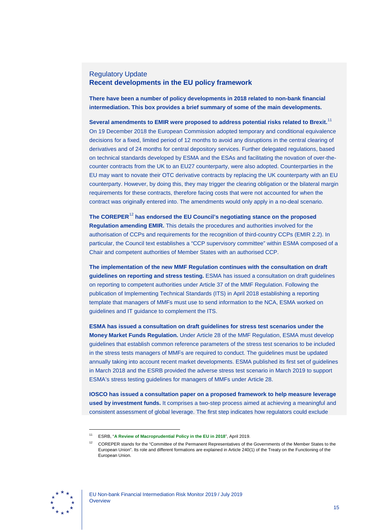### Regulatory Update **Recent developments in the EU policy framework**

**There have been a number of policy developments in 2018 related to non-bank financial intermediation. This box provides a brief summary of some of the main developments.**

**Several amendments to EMIR were proposed to address potential risks related to Brexit.**[11](#page-15-0) On 19 December 2018 the European Commission adopted temporary and conditional equivalence decisions for a fixed, limited period of 12 months to avoid any disruptions in the central clearing of derivatives and of 24 months for central depository services. Further delegated regulations, based on technical standards developed by ESMA and the ESAs and facilitating the novation of over-thecounter contracts from the UK to an EU27 counterparty, were also adopted. Counterparties in the EU may want to novate their OTC derivative contracts by replacing the UK counterparty with an EU counterparty. However, by doing this, they may trigger the clearing obligation or the bilateral margin requirements for these contracts, therefore facing costs that were not accounted for when the contract was originally entered into. The amendments would only apply in a no-deal scenario.

**The COREPER**[12](#page-15-1) **has endorsed the EU Council's negotiating stance on the proposed Regulation amending EMIR.** This details the procedures and authorities involved for the authorisation of CCPs and requirements for the recognition of third-country CCPs (EMIR 2.2). In particular, the Council text establishes a "CCP supervisory committee" within ESMA composed of a Chair and competent authorities of Member States with an authorised CCP.

**The implementation of the new MMF Regulation continues with the consultation on draft guidelines on reporting and stress testing.** ESMA has issued a consultation on draft guidelines on reporting to competent authorities under Article 37 of the MMF Regulation. Following the publication of Implementing Technical Standards (ITS) in April 2018 establishing a reporting template that managers of MMFs must use to send information to the NCA, ESMA worked on guidelines and IT guidance to complement the ITS.

**ESMA has issued a consultation on draft guidelines for stress test scenarios under the Money Market Funds Regulation.** Under Article 28 of the MMF Regulation, ESMA must develop guidelines that establish common reference parameters of the stress test scenarios to be included in the stress tests managers of MMFs are required to conduct. The guidelines must be updated annually taking into account recent market developments. ESMA published its first set of guidelines in March 2018 and the ESRB provided the adverse stress test scenario in March 2019 to support ESMA's stress testing guidelines for managers of MMFs under Article 28.

**IOSCO has issued a consultation paper on a proposed framework to help measure leverage used by investment funds.** It comprises a two-step process aimed at achieving a meaningful and consistent assessment of global leverage. The first step indicates how regulators could exclude

<span id="page-15-1"></span><span id="page-15-0"></span>

<sup>11</sup> ESRB, "**A [Review of Macroprudential Policy in the EU in 2018](https://www.esrb.europa.eu/pub/pdf/reports/esrb%7E32aae4bd95.report190430_reviewofmacroprudentialpolicy.pdf)**", April 2019.

<sup>12</sup> COREPER stands for the "Committee of the Permanent Representatives of the Governments of the Member States to the European Union". Its role and different formations are explained in Article 240(1) of the Treaty on the Functioning of the European Union.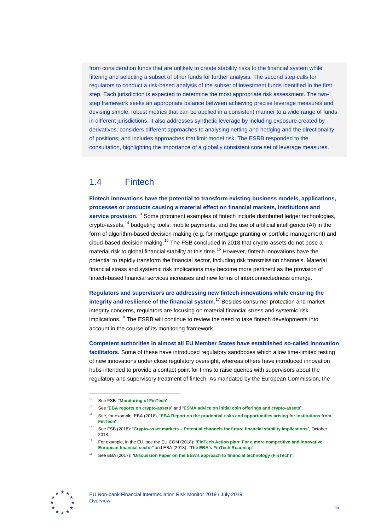from consideration funds that are unlikely to create stability risks to the financial system while filtering and selecting a subset of other funds for further analysis. The second step calls for regulators to conduct a risk-based analysis of the subset of investment funds identified in the first step. Each jurisdiction is expected to determine the most appropriate risk assessment. The twostep framework seeks an appropriate balance between achieving precise leverage measures and devising simple, robust metrics that can be applied in a consistent manner to a wide range of funds in different jurisdictions. It also addresses synthetic leverage by including exposure created by derivatives; considers different approaches to analysing netting and hedging and the directionality of positions; and includes approaches that limit model risk. The ESRB responded to the consultation, highlighting the importance of a globally consistent core set of leverage measures.

# <span id="page-16-0"></span>1.4 Fintech

**Fintech innovations have the potential to transform existing business models, applications, processes or products causing a material effect on financial markets, institutions and service provision.**[13](#page-16-1) Some prominent examples of fintech include distributed ledger technologies, crypto-assets,<sup>[14](#page-16-2)</sup> budgeting tools, mobile payments, and the use of artificial intelligence (AI) in the form of algorithm-based decision making (e.g. for mortgage granting or portfolio management) and cloud-based decision making.<sup>[15](#page-16-3)</sup> The FSB concluded in 2018 that crypto-assets do not pose a material risk to global financial stability at this time.<sup>[16](#page-16-4)</sup> However, fintech innovations have the potential to rapidly transform the financial sector, including risk transmission channels. Material financial stress and systemic risk implications may become more pertinent as the provision of fintech-based financial services increases and new forms of interconnectedness emerge.

**Regulators and supervisors are addressing new fintech innovations while ensuring the integrity and resilience of the financial system.**[17](#page-16-5) Besides consumer protection and market integrity concerns, regulators are focusing on material financial stress and systemic risk implications.<sup>[18](#page-16-6)</sup> The ESRB will continue to review the need to take fintech developments into account in the course of its monitoring framework.

**Competent authorities in almost all EU Member States have established so-called innovation facilitators.** Some of these have introduced regulatory sandboxes which allow time-limited testing of new innovations under close regulatory oversight, whereas others have introduced innovation hubs intended to provide a contact point for firms to raise queries with supervisors about the regulatory and supervisory treatment of fintech. As mandated by the European Commission, the

<span id="page-16-6"></span><span id="page-16-5"></span><span id="page-16-4"></span>

<span id="page-16-1"></span><sup>13</sup> See FSB: "**[Monitoring of FinTech](http://www.fsb.org/work-of-the-fsb/policy-development/additional-policy-areas/monitoring-of-fintech/)**".

<span id="page-16-3"></span><span id="page-16-2"></span><sup>14</sup> See "**[EBA reports on crypto-assets](https://eba.europa.eu/-/eba-reports-on-crypto-assets)**" and "**[ESMA advice on initial coin offerings](https://www.esma.europa.eu/press-news/esma-news/crypto-assets-need-common-eu-wide-approach-ensure-investor-protection) and crypto-assets**".

<sup>15</sup> See, for example, EBA (2018), "**[EBA Report on the prudential risks and opportunities arising for institutions from](https://eba.europa.eu/documents/10180/2270909/Report+on+prudential+risks+and+opportunities+arising+for+institutions+from+FinTech.pdf)  [FinTech](https://eba.europa.eu/documents/10180/2270909/Report+on+prudential+risks+and+opportunities+arising+for+institutions+from+FinTech.pdf)**".

<sup>16</sup> See FSB (2018): "**Crypto-asset markets – [Potential channels for future financial stability implications](http://www.fsb.org/wp-content/uploads/P101018.pdf)**", October 2018.

<sup>17</sup> For example, in the EU, see the EU COM (2018): "**[FinTech Action plan: For a more competitive and innovative](https://ec.europa.eu/info/sites/info/files/180308-action-plan-fintech_en.pdf)  [European financial sector](https://ec.europa.eu/info/sites/info/files/180308-action-plan-fintech_en.pdf)**" and EBA (2018): "**[The EBA's FinTech Roadmap](https://eba.europa.eu/documents/10180/1919160/EBA+FinTech+Roadmap.pdf)**".

<sup>18</sup> See EBA (2017): "**[Discussion Paper on the EBA's approach to financial technology \(FinTech\)](https://eba.europa.eu/documents/10180/1919160/EBA+Discussion+Paper+on+Fintech+%28EBA-DP-2017-02%29.pdf)**".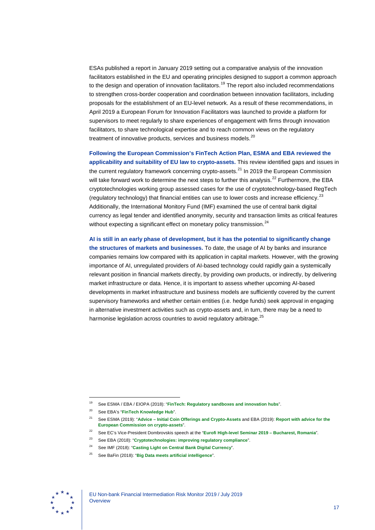ESAs published a report in January 2019 setting out a comparative analysis of the innovation facilitators established in the EU and operating principles designed to support a common approach to the design and operation of innovation facilitators.<sup>[19](#page-17-0)</sup> The report also included recommendations to strengthen cross-border cooperation and coordination between innovation facilitators, including proposals for the establishment of an EU-level network. As a result of these recommendations, in April 2019 a European Forum for Innovation Facilitators was launched to provide a platform for supervisors to meet regularly to share experiences of engagement with firms through innovation facilitators, to share technological expertise and to reach common views on the regulatory treatment of innovative products, services and business models.<sup>[20](#page-17-1)</sup>

**Following the European Commission's FinTech Action Plan, ESMA and EBA reviewed the applicability and suitability of EU law to crypto-assets.** This review identified gaps and issues in the current regulatory framework concerning crypto-assets. $^{21}$  $^{21}$  $^{21}$  In 2019 the European Commission will take forward work to determine the next steps to further this analysis.<sup>[22](#page-17-3)</sup> Furthermore, the EBA cryptotechnologies working group assessed cases for the use of cryptotechnology-based RegTech (regulatory technology) that financial entities can use to lower costs and increase efficiency.<sup>[23](#page-17-4)</sup> Additionally, the International Monitory Fund (IMF) examined the use of central bank digital currency as legal tender and identified anonymity, security and transaction limits as critical features without expecting a significant effect on monetary policy transmission.<sup>[24](#page-17-5)</sup>

**AI is still in an early phase of development, but it has the potential to significantly change the structures of markets and businesses.** To date, the usage of AI by banks and insurance companies remains low compared with its application in capital markets. However, with the growing importance of AI, unregulated providers of AI-based technology could rapidly gain a systemically relevant position in financial markets directly, by providing own products, or indirectly, by delivering market infrastructure or data. Hence, it is important to assess whether upcoming AI-based developments in market infrastructure and business models are sufficiently covered by the current supervisory frameworks and whether certain entities (i.e. hedge funds) seek approval in engaging in alternative investment activities such as crypto-assets and, in turn, there may be a need to harmonise legislation across countries to avoid regulatory arbitrage.<sup>[25](#page-17-6)</sup>

<span id="page-17-6"></span><span id="page-17-5"></span><span id="page-17-4"></span><span id="page-17-3"></span><span id="page-17-2"></span>

<span id="page-17-0"></span><sup>19</sup> See ESMA / EBA / EIOPA (2018): "**[FinTech: Regulatory sandboxes and innovation hubs](https://eba.europa.eu/documents/10180/2545547/JC+2018+74+Joint+Report+on+Regulatory+Sandboxes+and+Innovation+Hubs.pdf)**".

<sup>20</sup> See EBA's "**[FinTech Knowledge Hub](https://eba.europa.eu/financial-innovation-and-fintech/fintech-knowledge-hub)**".

<span id="page-17-1"></span><sup>21</sup> See ESMA (2019): "**Advice – [Initial Coin Offerings and Crypto-Assets](https://www.esma.europa.eu/sites/default/files/library/esma50-157-1391_crypto_advice.pdf)** and EBA (2019): **[Report with advice for the](https://eba.europa.eu/documents/10180/2545547/EBA+Report+on+crypto+assets.pdf)  [European Commission on crypto-assets](https://eba.europa.eu/documents/10180/2545547/EBA+Report+on+crypto+assets.pdf)**".

<sup>22</sup> See EC's Vice-President Dombrovskis speech at the "**[Eurofi High-level Seminar 2019](http://europa.eu/rapid/press-release_SPEECH-19-1999_en.htm) – Bucharest, Romania**".

<sup>23</sup> See EBA (2018): "**[Cryptotechnologies: improving regulatory compliance](https://www.abe-eba.eu/epaper/epaper-EBA-Cryptotechnology-2018/epaper/EBA_Cryptotechnologies.pdf)**".

<sup>24</sup> See IMF (2018): "**[Casting Light on Central Bank Digital Currency](https://www.imf.org/%7E/media/Files/Publications/SDN/2018/SDN1808.ashx)**".

<sup>25</sup> See BaFin (2018): "**[Big Data meets artificial intelligence](https://www.bafin.de/SharedDocs/Downloads/EN/dl_bdai_studie_en.pdf?__blob=publicationFile&v=9)**".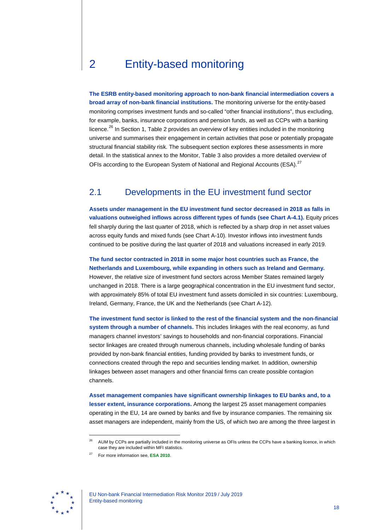# <span id="page-18-0"></span>2 Entity-based monitoring

**The ESRB entity-based monitoring approach to non-bank financial intermediation covers a broad array of non-bank financial institutions.** The monitoring universe for the entity-based monitoring comprises investment funds and so-called "other financial institutions", thus excluding, for example, banks, insurance corporations and pension funds, as well as CCPs with a banking licence.<sup>[26](#page-18-2)</sup> In Section 1, Table 2 provides an overview of key entities included in the monitoring universe and summarises their engagement in certain activities that pose or potentially propagate structural financial stability risk. The subsequent section explores these assessments in more detail. In the statistical annex to the Monitor, Table 3 also provides a more detailed overview of OFIs according to the European System of National and Regional Accounts (ESA).<sup>[27](#page-18-3)</sup>

# <span id="page-18-1"></span>2.1 Developments in the EU investment fund sector

**Assets under management in the EU investment fund sector decreased in 2018 as falls in valuations outweighed inflows across different types of funds (see Chart A-4.1).** Equity prices fell sharply during the last quarter of 2018, which is reflected by a sharp drop in net asset values across equity funds and mixed funds (see Chart A-10). Investor inflows into investment funds continued to be positive during the last quarter of 2018 and valuations increased in early 2019.

**The fund sector contracted in 2018 in some major host countries such as France, the Netherlands and Luxembourg, while expanding in others such as Ireland and Germany.** However, the relative size of investment fund sectors across Member States remained largely unchanged in 2018. There is a large geographical concentration in the EU investment fund sector, with approximately 85% of total EU investment fund assets domiciled in six countries: Luxembourg, Ireland, Germany, France, the UK and the Netherlands (see Chart A-12).

**The investment fund sector is linked to the rest of the financial system and the non-financial system through a number of channels.** This includes linkages with the real economy, as fund managers channel investors' savings to households and non-financial corporations. Financial sector linkages are created through numerous channels, including wholesale funding of banks provided by non-bank financial entities, funding provided by banks to investment funds, or connections created through the repo and securities lending market. In addition, ownership linkages between asset managers and other financial firms can create possible contagion channels.

**Asset management companies have significant ownership linkages to EU banks and, to a lesser extent, insurance corporations.** Among the largest 25 asset management companies operating in the EU, 14 are owned by banks and five by insurance companies. The remaining six asset managers are independent, mainly from the US, of which two are among the three largest in

<span id="page-18-3"></span><span id="page-18-2"></span>

<sup>&</sup>lt;sup>26</sup> AUM by CCPs are partially included in the monitoring universe as OFIs unless the CCPs have a banking licence, in which case they are included within MFI statistics.

<sup>27</sup> For more information see, **ESA [2010](https://ec.europa.eu/eurostat/documents/3859598/5925693/KS-02-13-269-EN.PDF)**.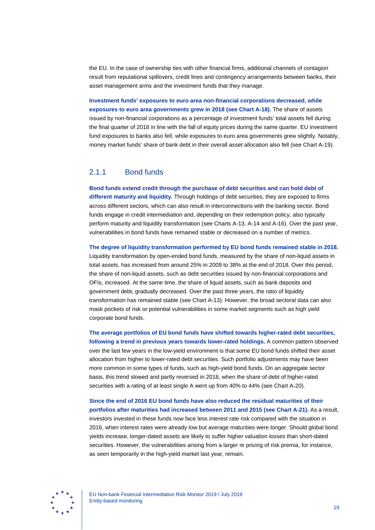the EU. In the case of ownership ties with other financial firms, additional channels of contagion result from reputational spillovers, credit lines and contingency arrangements between banks, their asset management arms and the investment funds that they manage.

**Investment funds' exposures to euro area non-financial corporations decreased, while exposures to euro area governments grew in 2018 (see Chart A-18).** The share of assets issued by non-financial corporations as a percentage of investment funds' total assets fell during the final quarter of 2018 in line with the fall of equity prices during the same quarter. EU investment fund exposures to banks also fell, while exposures to euro area governments grew slightly. Notably, money market funds' share of bank debt in their overall asset allocation also fell (see Chart A-19).

### <span id="page-19-0"></span>2.1.1 Bond funds

**Bond funds extend credit through the purchase of debt securities and can hold debt of different maturity and liquidity.** Through holdings of debt securities, they are exposed to firms across different sectors, which can also result in interconnections with the banking sector. Bond funds engage in credit intermediation and, depending on their redemption policy, also typically perform maturity and liquidity transformation (see Charts A-13, A-14 and A-16). Over the past year, vulnerabilities in bond funds have remained stable or decreased on a number of metrics.

**The degree of liquidity transformation performed by EU bond funds remained stable in 2018.** Liquidity transformation by open-ended bond funds, measured by the share of non-liquid assets in total assets, has increased from around 25% in 2009 to 38% at the end of 2018. Over this period, the share of non-liquid assets, such as debt securities issued by non-financial corporations and OFIs, increased. At the same time, the share of liquid assets, such as bank deposits and government debt, gradually decreased. Over the past three years, the ratio of liquidity transformation has remained stable (see Chart A-13). However, the broad sectoral data can also mask pockets of risk or potential vulnerabilities in some market segments such as high yield corporate bond funds.

**The average portfolios of EU bond funds have shifted towards higher-rated debt securities, following a trend in previous years towards lower-rated holdings.** A common pattern observed over the last few years in the low-yield environment is that some EU bond funds shifted their asset allocation from higher to lower-rated debt securities. Such portfolio adjustments may have been more common in some types of funds, such as high-yield bond funds. On an aggregate sector basis, this trend slowed and partly reversed in 2018, when the share of debt of higher-rated securities with a rating of at least single A went up from 40% to 44% (see Chart A-20).

**Since the end of 2016 EU bond funds have also reduced the residual maturities of their portfolios after maturities had increased between 2011 and 2015 (see Chart A-21).** As a result, investors invested in these funds now face less interest rate risk compared with the situation in 2016, when interest rates were already low but average maturities were longer. Should global bond yields increase, longer-dated assets are likely to suffer higher valuation losses than short-dated securities. However, the vulnerabilities arising from a larger re pricing of risk premia, for instance, as seen temporarily in the high-yield market last year, remain.

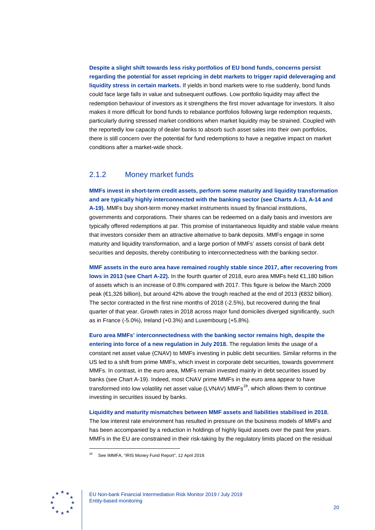**Despite a slight shift towards less risky portfolios of EU bond funds, concerns persist regarding the potential for asset repricing in debt markets to trigger rapid deleveraging and liquidity stress in certain markets.** If yields in bond markets were to rise suddenly, bond funds could face large falls in value and subsequent outflows. Low portfolio liquidity may affect the redemption behaviour of investors as it strengthens the first mover advantage for investors. It also makes it more difficult for bond funds to rebalance portfolios following large redemption requests, particularly during stressed market conditions when market liquidity may be strained. Coupled with the reportedly low capacity of dealer banks to absorb such asset sales into their own portfolios, there is still concern over the potential for fund redemptions to have a negative impact on market conditions after a market-wide shock.

### <span id="page-20-0"></span>2.1.2 Money market funds

**MMFs invest in short-term credit assets, perform some maturity and liquidity transformation and are typically highly interconnected with the banking sector (see Charts A-13, A-14 and A-19).** MMFs buy short-term money market instruments issued by financial institutions, governments and corporations. Their shares can be redeemed on a daily basis and investors are typically offered redemptions at par. This promise of instantaneous liquidity and stable value means that investors consider them an attractive alternative to bank deposits. MMFs engage in some maturity and liquidity transformation, and a large portion of MMFs' assets consist of bank debt securities and deposits, thereby contributing to interconnectedness with the banking sector.

**MMF assets in the euro area have remained roughly stable since 2017, after recovering from lows in 2013 (see Chart A-22).** In the fourth quarter of 2018, euro area MMFs held €1,180 billion of assets which is an increase of 0.8% compared with 2017. This figure is below the March 2009 peak (€1,326 billion), but around 42% above the trough reached at the end of 2013 (€832 billion). The sector contracted in the first nine months of 2018 (-2.5%), but recovered during the final quarter of that year. Growth rates in 2018 across major fund domiciles diverged significantly, such as in France (-5.0%), Ireland (+0.3%) and Luxembourg (+5.8%).

**Euro area MMFs' interconnectedness with the banking sector remains high, despite the entering into force of a new regulation in July 2018.** The regulation limits the usage of a constant net asset value (CNAV) to MMFs investing in public debt securities. Similar reforms in the US led to a shift from prime MMFs, which invest in corporate debt securities, towards government MMFs. In contrast, in the euro area, MMFs remain invested mainly in debt securities issued by banks (see Chart A-19). Indeed, most CNAV prime MMFs in the euro area appear to have transformed into low volatility net asset value (LVNAV) MMFs $^{28}$  $^{28}$  $^{28}$ , which allows them to continue investing in securities issued by banks.

# **Liquidity and maturity mismatches between MMF assets and liabilities stabilised in 2018.**

The low interest rate environment has resulted in pressure on the business models of MMFs and has been accompanied by a reduction in holdings of highly liquid assets over the past few years. MMFs in the EU are constrained in their risk-taking by the regulatory limits placed on the residual

<span id="page-20-1"></span>

<sup>28</sup> See IMMFA, "IRIS Money Fund Report", 12 April 2019.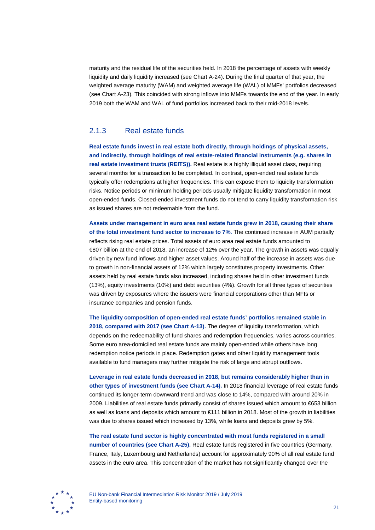maturity and the residual life of the securities held. In 2018 the percentage of assets with weekly liquidity and daily liquidity increased (see Chart A-24). During the final quarter of that year, the weighted average maturity (WAM) and weighted average life (WAL) of MMFs' portfolios decreased (see Chart A-23). This coincided with strong inflows into MMFs towards the end of the year. In early 2019 both the WAM and WAL of fund portfolios increased back to their mid-2018 levels.

## <span id="page-21-0"></span>2.1.3 Real estate funds

**Real estate funds invest in real estate both directly, through holdings of physical assets, and indirectly, through holdings of real estate-related financial instruments (e.g. shares in real estate investment trusts (REITS)).** Real estate is a highly illiquid asset class, requiring several months for a transaction to be completed. In contrast, open-ended real estate funds typically offer redemptions at higher frequencies. This can expose them to liquidity transformation risks. Notice periods or minimum holding periods usually mitigate liquidity transformation in most open-ended funds. Closed-ended investment funds do not tend to carry liquidity transformation risk as issued shares are not redeemable from the fund.

**Assets under management in euro area real estate funds grew in 2018, causing their share of the total investment fund sector to increase to 7%.** The continued increase in AUM partially reflects rising real estate prices. Total assets of euro area real estate funds amounted to €807 billion at the end of 2018, an increase of 12% over the year. The growth in assets was equally driven by new fund inflows and higher asset values. Around half of the increase in assets was due to growth in non-financial assets of 12% which largely constitutes property investments. Other assets held by real estate funds also increased, including shares held in other investment funds (13%), equity investments (10%) and debt securities (4%). Growth for all three types of securities was driven by exposures where the issuers were financial corporations other than MFIs or insurance companies and pension funds.

**The liquidity composition of open-ended real estate funds' portfolios remained stable in 2018, compared with 2017 (see Chart A-13).** The degree of liquidity transformation, which depends on the redeemability of fund shares and redemption frequencies, varies across countries. Some euro area-domiciled real estate funds are mainly open-ended while others have long redemption notice periods in place. Redemption gates and other liquidity management tools available to fund managers may further mitigate the risk of large and abrupt outflows.

**Leverage in real estate funds decreased in 2018, but remains considerably higher than in other types of investment funds (see Chart A-14).** In 2018 financial leverage of real estate funds continued its longer-term downward trend and was close to 14%, compared with around 20% in 2009. Liabilities of real estate funds primarily consist of shares issued which amount to €653 billion as well as loans and deposits which amount to €111 billion in 2018. Most of the growth in liabilities was due to shares issued which increased by 13%, while loans and deposits grew by 5%.

**The real estate fund sector is highly concentrated with most funds registered in a small number of countries (see Chart A-25).** Real estate funds registered in five countries (Germany, France, Italy, Luxembourg and Netherlands) account for approximately 90% of all real estate fund assets in the euro area. This concentration of the market has not significantly changed over the

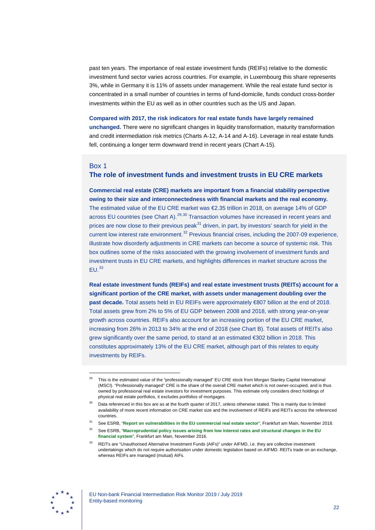past ten years. The importance of real estate investment funds (REIFs) relative to the domestic investment fund sector varies across countries. For example, in Luxembourg this share represents 3%, while in Germany it is 11% of assets under management. While the real estate fund sector is concentrated in a small number of countries in terms of fund-domicile, funds conduct cross-border investments within the EU as well as in other countries such as the US and Japan.

#### **Compared with 2017, the risk indicators for real estate funds have largely remained**

**unchanged.** There were no significant changes in liquidity transformation, maturity transformation and credit intermediation risk metrics (Charts A-12, A-14 and A-16). Leverage in real estate funds fell, continuing a longer term downward trend in recent years (Chart A-15).

#### <span id="page-22-0"></span>Box 1

-

# **The role of investment funds and investment trusts in EU CRE markets**

**Commercial real estate (CRE) markets are important from a financial stability perspective owing to their size and interconnectedness with financial markets and the real economy.** The estimated value of the EU CRE market was €2.35 trillion in 2018, on average 14% of GDP across EU countries (see Chart A).<sup>[29](#page-22-1),[30](#page-22-2)</sup> Transaction volumes have increased in recent years and prices are now close to their previous peak $31$  driven, in part, by investors' search for yield in the current low interest rate environment.<sup>[32](#page-22-4)</sup> Previous financial crises, including the 2007-09 experience, illustrate how disorderly adjustments in CRE markets can become a source of systemic risk. This box outlines some of the risks associated with the growing involvement of investment funds and investment trusts in EU CRE markets, and highlights differences in market structure across the  $FLL<sup>33</sup>$  $FLL<sup>33</sup>$  $FLL<sup>33</sup>$ 

**Real estate investment funds (REIFs) and real estate investment trusts (REITs) account for a significant portion of the CRE market, with assets under management doubling over the past decade.** Total assets held in EU REIFs were approximately €807 billion at the end of 2018. Total assets grew from 2% to 5% of EU GDP between 2008 and 2018, with strong year-on-year growth across countries. REIFs also account for an increasing portion of the EU CRE market, increasing from 26% in 2013 to 34% at the end of 2018 (see Chart B). Total assets of REITs also grew significantly over the same period, to stand at an estimated €302 billion in 2018. This constitutes approximately 13% of the EU CRE market, although part of this relates to equity investments by REIFs.

<span id="page-22-5"></span><span id="page-22-4"></span><span id="page-22-3"></span>

<span id="page-22-1"></span>This is the estimated value of the "professionally managed" EU CRE stock from Morgan Stanley Capital International (MSCI). "Professionally managed" CRE is the share of the overall CRE market which is not owner-occupied, and is thus owned by professional real estate investors for investment purposes. This estimate only considers direct holdings of physical real estate portfolios, it excludes portfolios of mortgages.

<span id="page-22-2"></span>Data referenced in this box are as at the fourth quarter of 2017, unless otherwise stated. This is mainly due to limited availability of more recent information on CRE market size and the involvement of REIFs and REITs across the referenced countries.

<sup>31</sup> See ESRB, "**[Report on vulnerabilities in the EU commercial real estate sector](https://www.esrb.europa.eu/pub/pdf/reports/esrb.report181126_vulnerabilities_EU_commercial_real_estate_sector.en.pdf)**", Frankfurt am Main, November 2018.

<sup>32</sup> See ESRB, "**[Macroprudential policy issues arising from low interest rates and structural changes in the EU](https://www.esrb.europa.eu/pub/pdf/reports/161128_low_interest_rate_report.en.pdf)  [financial system](https://www.esrb.europa.eu/pub/pdf/reports/161128_low_interest_rate_report.en.pdf)**", Frankfurt am Main, November 2016.

<sup>33</sup> REITs are "Unauthorised Alternative Investment Funds (AIFs)" under AIFMD, i.e. they are collective investment undertakings which do not require authorisation under domestic legislation based on AIFMD. REITs trade on an exchange, whereas REIFs are managed (mutual) AIFs.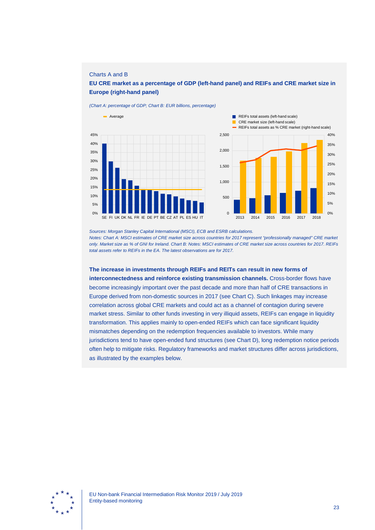#### Charts A and B

### **EU CRE market as a percentage of GDP (left-hand panel) and REIFs and CRE market size in Europe (right-hand panel)**

*(Chart A: percentage of GDP; Chart B: EUR billions, percentage)*





*Sources: Morgan Stanley Capital International (MSCI), ECB and ESRB calculations. Notes: Chart A: MSCI estimates of CRE market size across countries for 2017 represent "professionally managed" CRE market only. Market size as % of GNI for Ireland. Chart B: Notes: MSCI estimates of CRE market size across countries for 2017. REIFs total assets refer to REIFs in the EA. The latest observations are for 2017.*

**The increase in investments through REIFs and REITs can result in new forms of interconnectedness and reinforce existing transmission channels.** Cross-border flows have become increasingly important over the past decade and more than half of CRE transactions in Europe derived from non-domestic sources in 2017 (see Chart C). Such linkages may increase correlation across global CRE markets and could act as a channel of contagion during severe market stress. Similar to other funds investing in very illiquid assets, REIFs can engage in liquidity transformation. This applies mainly to open-ended REIFs which can face significant liquidity mismatches depending on the redemption frequencies available to investors. While many jurisdictions tend to have open-ended fund structures (see Chart D), long redemption notice periods often help to mitigate risks. Regulatory frameworks and market structures differ across jurisdictions, as illustrated by the examples below.

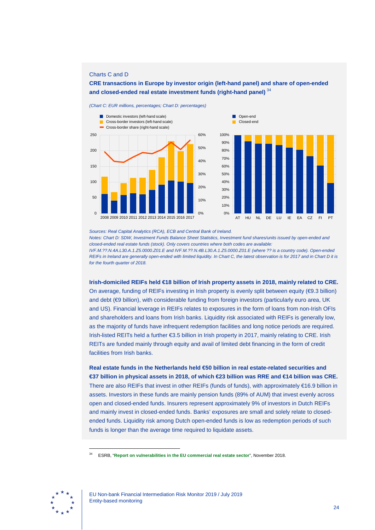### Charts C and D

**CRE transactions in Europe by investor origin (left-hand panel) and share of open-ended and closed-ended real estate investment funds (right-hand panel)** [34](#page-24-0)

*(Chart C: EUR millions, percentages; Chart D: percentages)*





*Sources: Real Capital Analytics (RCA), ECB and Central Bank of Ireland.*

*Notes: Chart D: SDW, Investment Funds Balance Sheet Statistics, Investment fund shares/units issued by open-ended and closed-ended real estate funds (stock). Only covers countries where both codes are available: IVF.M.??.N.4A.L30.A.1.Z5.0000.Z01.E and IVF.M.??.N.4B.L30.A.1.Z5.0000.Z01.E (where ?? is a country code). Open-ended* 

*REIFs in Ireland are generally open-ended with limited liquidity. In Chart C, the latest observation is for 2017 and in Chart D it is for the fourth quarter of 2018.*

**Irish-domiciled REIFs held €18 billion of Irish property assets in 2018, mainly related to CRE.**

On average, funding of REIFs investing in Irish property is evenly split between equity (€9.3 billion) and debt (€9 billion), with considerable funding from foreign investors (particularly euro area, UK and US). Financial leverage in REIFs relates to exposures in the form of loans from non-Irish OFIs and shareholders and loans from Irish banks. Liquidity risk associated with REIFs is generally low, as the majority of funds have infrequent redemption facilities and long notice periods are required. Irish-listed REITs held a further €3.5 billion in Irish property in 2017, mainly relating to CRE. Irish REITs are funded mainly through equity and avail of limited debt financing in the form of credit facilities from Irish banks.

**Real estate funds in the Netherlands held €50 billion in real estate-related securities and €37 billion in physical assets in 2018, of which €23 billion was RRE and €14 billion was CRE.** There are also REIFs that invest in other REIFs (funds of funds), with approximately €16.9 billion in assets. Investors in these funds are mainly pension funds (89% of AUM) that invest evenly across open and closed-ended funds. Insurers represent approximately 9% of investors in Dutch REIFs and mainly invest in closed-ended funds. Banks' exposures are small and solely relate to closedended funds. Liquidity risk among Dutch open-ended funds is low as redemption periods of such funds is longer than the average time required to liquidate assets.

<span id="page-24-0"></span>

<sup>34</sup> ESRB, "**[Report on vulnerabilities in the EU commercial real estate sector](https://www.esrb.europa.eu/pub/pdf/reports/esrb.report181126_vulnerabilities_EU_commercial_real_estate_sector.en.pdf)**", November 2018.

EU Non-bank Financial Intermediation Risk Monitor 2019 / July 2019 Entity-based monitoring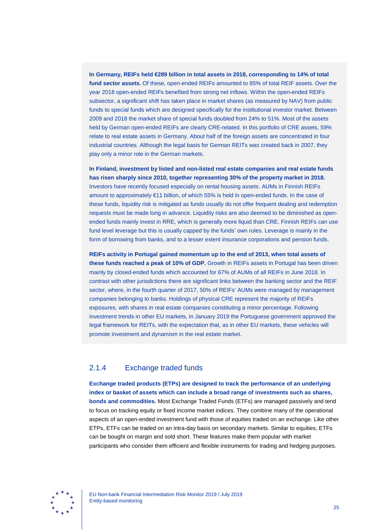**In Germany, REIFs held €289 billion in total assets in 2018, corresponding to 14% of total fund sector assets.** Of these, open-ended REIFs amounted to 85% of total REIF assets. Over the year 2018 open-ended REIFs benefited from strong net inflows. Within the open-ended REIFs subsector, a significant shift has taken place in market shares (as measured by NAV) from public funds to special funds which are designed specifically for the institutional investor market. Between 2009 and 2018 the market share of special funds doubled from 24% to 51%. Most of the assets held by German open-ended REIFs are clearly CRE-related. In this portfolio of CRE assets, 59% relate to real estate assets in Germany. About half of the foreign assets are concentrated in four industrial countries. Although the legal basis for German REITs was created back in 2007, they play only a minor role in the German markets.

**In Finland, investment by listed and non-listed real estate companies and real estate funds has risen sharply since 2010, together representing 30% of the property market in 2018.** Investors have recently focused especially on rental housing assets. AUMs in Finnish REIFs amount to approximately €11 billion, of which 55% is held in open-ended funds. In the case of these funds, liquidity risk is mitigated as funds usually do not offer frequent dealing and redemption requests must be made long in advance. Liquidity risks are also deemed to be diminished as openended funds mainly invest in RRE, which is generally more liquid than CRE. Finnish REIFs can use fund level leverage but this is usually capped by the funds' own rules. Leverage is mainly in the form of borrowing from banks, and to a lesser extent insurance corporations and pension funds.

**REIFs activity in Portugal gained momentum up to the end of 2013, when total assets of these funds reached a peak of 10% of GDP.** Growth in REIFs assets in Portugal has been driven mainly by closed-ended funds which accounted for 67% of AUMs of all REIFs in June 2018. In contrast with other jurisdictions there are significant links between the banking sector and the REIF sector, where, in the fourth quarter of 2017, 50% of REIFs' AUMs were managed by management companies belonging to banks. Holdings of physical CRE represent the majority of REIFs exposures, with shares in real estate companies constituting a minor percentage. Following investment trends in other EU markets, in January 2019 the Portuguese government approved the legal framework for REITs, with the expectation that, as in other EU markets, these vehicles will promote investment and dynamism in the real estate market.

# <span id="page-25-0"></span>2.1.4 Exchange traded funds

**Exchange traded products (ETPs) are designed to track the performance of an underlying index or basket of assets which can include a broad range of investments such as shares, bonds and commodities.** Most Exchange Traded Funds (ETFs) are managed passively and tend to focus on tracking equity or fixed income market indices. They combine many of the operational aspects of an open-ended investment fund with those of equities traded on an exchange. Like other ETPs, ETFs can be traded on an intra-day basis on secondary markets. Similar to equities, ETFs can be bought on margin and sold short. These features make them popular with market participants who consider them efficient and flexible instruments for trading and hedging purposes.

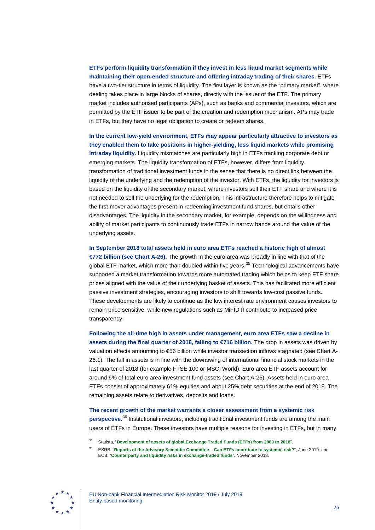# **ETFs perform liquidity transformation if they invest in less liquid market segments while maintaining their open-ended structure and offering intraday trading of their shares.** ETFs have a two-tier structure in terms of liquidity. The first layer is known as the "primary market", where dealing takes place in large blocks of shares, directly with the issuer of the ETF. The primary market includes authorised participants (APs), such as banks and commercial investors, which are permitted by the ETF issuer to be part of the creation and redemption mechanism. APs may trade in ETFs, but they have no legal obligation to create or redeem shares.

**In the current low-yield environment, ETFs may appear particularly attractive to investors as they enabled them to take positions in higher-yielding, less liquid markets while promising intraday liquidity.** Liquidity mismatches are particularly high in ETFs tracking corporate debt or emerging markets. The liquidity transformation of ETFs, however, differs from liquidity transformation of traditional investment funds in the sense that there is no direct link between the liquidity of the underlying and the redemption of the investor. With ETFs, the liquidity for investors is based on the liquidity of the secondary market, where investors sell their ETF share and where it is not needed to sell the underlying for the redemption. This infrastructure therefore helps to mitigate the first-mover advantages present in redeeming investment fund shares, but entails other disadvantages. The liquidity in the secondary market, for example, depends on the willingness and ability of market participants to continuously trade ETFs in narrow bands around the value of the underlying assets.

**In September 2018 total assets held in euro area ETFs reached a historic high of almost €772 billion (see Chart A-26).** The growth in the euro area was broadly in line with that of the global ETF market, which more than doubled within five years.<sup>[35](#page-26-0)</sup> Technological advancements have supported a market transformation towards more automated trading which helps to keep ETF share prices aligned with the value of their underlying basket of assets. This has facilitated more efficient passive investment strategies, encouraging investors to shift towards low-cost passive funds. These developments are likely to continue as the low interest rate environment causes investors to remain price sensitive, while new regulations such as MiFID II contribute to increased price transparency.

**Following the all-time high in assets under management, euro area ETFs saw a decline in assets during the final quarter of 2018, falling to €716 billion. The drop in assets was driven by** valuation effects amounting to €56 billion while investor transaction inflows stagnated (see Chart A-26.1). The fall in assets is in line with the downswing of international financial stock markets in the last quarter of 2018 (for example FTSE 100 or MSCI World). Euro area ETF assets account for around 6% of total euro area investment fund assets (see Chart A-26). Assets held in euro area ETFs consist of approximately 61% equities and about 25% debt securities at the end of 2018. The remaining assets relate to derivatives, deposits and loans.

**The recent growth of the market warrants a closer assessment from a systemic risk perspective.**[36](#page-26-1) Institutional investors, including traditional investment funds are among the main users of ETFs in Europe. These investors have multiple reasons for investing in ETFs, but in many

<span id="page-26-1"></span><span id="page-26-0"></span>

<sup>35</sup> Statista, "**[Development of assets of global Exchange Traded Funds \(ETFs\) from 2003 to 2018](https://www.statista.com/statistics/224579/worldwide-etf-assets-under-management-since-1997/)**".

<sup>36</sup> ESRB, "**[Reports of the Advisory Scientific Committee](https://www.esrb.europa.eu/pub/pdf/asc/esrb.asc190617_9_canetfscontributesystemicrisk%7E983ea11870.en.pdf) – Can ETFs contribute to systemic risk?**", June 2019 and ECB, "**[Counterparty and liquidity risks in exchange-traded funds](https://www.ecb.europa.eu/pub/financial-stability/fsr/special/html/ecb.fsrart201811_3.en.html)**", November 2018.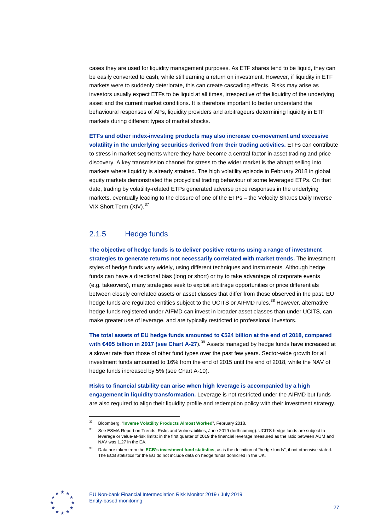cases they are used for liquidity management purposes. As ETF shares tend to be liquid, they can be easily converted to cash, while still earning a return on investment. However, if liquidity in ETF markets were to suddenly deteriorate, this can create cascading effects. Risks may arise as investors usually expect ETFs to be liquid at all times, irrespective of the liquidity of the underlying asset and the current market conditions. It is therefore important to better understand the behavioural responses of APs, liquidity providers and arbitrageurs determining liquidity in ETF markets during different types of market shocks.

**ETFs and other index-investing products may also increase co-movement and excessive volatility in the underlying securities derived from their trading activities.** ETFs can contribute to stress in market segments where they have become a central factor in asset trading and price discovery. A key transmission channel for stress to the wider market is the abrupt selling into markets where liquidity is already strained. The high volatility episode in February 2018 in global equity markets demonstrated the procyclical trading behaviour of some leveraged ETPs. On that date, trading by volatility-related ETPs generated adverse price responses in the underlying markets, eventually leading to the closure of one of the ETPs – the Velocity Shares Daily Inverse VIX Short Term (XIV).<sup>[37](#page-27-1)</sup>

# <span id="page-27-0"></span>2.1.5 Hedge funds

**The objective of hedge funds is to deliver positive returns using a range of investment strategies to generate returns not necessarily correlated with market trends.** The investment styles of hedge funds vary widely, using different techniques and instruments. Although hedge funds can have a directional bias (long or short) or try to take advantage of corporate events (e.g. takeovers), many strategies seek to exploit arbitrage opportunities or price differentials between closely correlated assets or asset classes that differ from those observed in the past. EU hedge funds are regulated entities subject to the UCITS or AIFMD rules.<sup>[38](#page-27-2)</sup> However, alternative hedge funds registered under AIFMD can invest in broader asset classes than under UCITS, can make greater use of leverage, and are typically restricted to professional investors.

**The total assets of EU hedge funds amounted to €524 billion at the end of 2018, compared with €495 billion in 2017 (see Chart A-27**)**.** [39](#page-27-3) Assets managed by hedge funds have increased at a slower rate than those of other fund types over the past few years. Sector-wide growth for all investment funds amounted to 16% from the end of 2015 until the end of 2018, while the NAV of hedge funds increased by 5% (see Chart A-10).

**Risks to financial stability can arise when high leverage is accompanied by a high engagement in liquidity transformation.** Leverage is not restricted under the AIFMD but funds are also required to align their liquidity profile and redemption policy with their investment strategy.

<span id="page-27-3"></span><span id="page-27-2"></span><span id="page-27-1"></span>

<sup>37</sup> Bloomberg, "**[Inverse Volatility Products Almost Worked](https://www.bloomberg.com/opinion/articles/2018-02-09/inverse-volatility-products-almost-worked)**", February 2018.

See ESMA Report on Trends, Risks and Vulnerabilities, June 2019 (forthcoming). UCITS hedge funds are subject to leverage or value-at-risk limits: in the first quarter of 2019 the financial leverage measured as the ratio between AUM and NAV was 1.27 in the EA.

<sup>39</sup> Data are taken from the **[ECB's investment fund statistics](https://www.ecb.europa.eu/pub/pdf/other/manualinvestmentfundstatistics201712.en.pdf)**, as is the definition of "hedge funds", if not otherwise stated. The ECB statistics for the EU do not include data on hedge funds domiciled in the UK.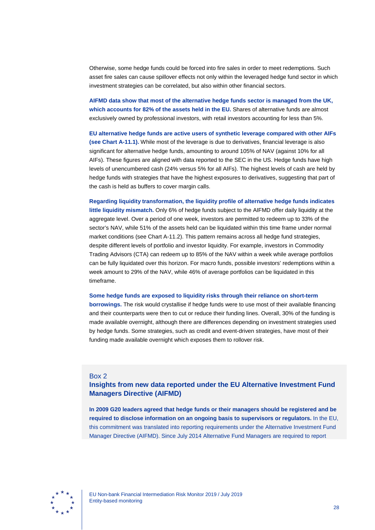Otherwise, some hedge funds could be forced into fire sales in order to meet redemptions. Such asset fire sales can cause spillover effects not only within the leveraged hedge fund sector in which investment strategies can be correlated, but also within other financial sectors.

**AIFMD data show that most of the alternative hedge funds sector is managed from the UK, which accounts for 82% of the assets held in the EU.** Shares of alternative funds are almost exclusively owned by professional investors, with retail investors accounting for less than 5%.

**EU alternative hedge funds are active users of synthetic leverage compared with other AIFs (see Chart A-11.1).** While most of the leverage is due to derivatives, financial leverage is also significant for alternative hedge funds, amounting to around 105% of NAV (against 10% for all AIFs). These figures are aligned with data reported to the SEC in the US. Hedge funds have high levels of unencumbered cash (24% versus 5% for all AIFs). The highest levels of cash are held by hedge funds with strategies that have the highest exposures to derivatives, suggesting that part of the cash is held as buffers to cover margin calls.

**Regarding liquidity transformation, the liquidity profile of alternative hedge funds indicates little liquidity mismatch.** Only 6% of hedge funds subject to the AIFMD offer daily liquidity at the aggregate level. Over a period of one week, investors are permitted to redeem up to 33% of the sector's NAV, while 51% of the assets held can be liquidated within this time frame under normal market conditions (see Chart A-11.2). This pattern remains across all hedge fund strategies, despite different levels of portfolio and investor liquidity. For example, investors in Commodity Trading Advisors (CTA) can redeem up to 85% of the NAV within a week while average portfolios can be fully liquidated over this horizon. For macro funds, possible investors' redemptions within a week amount to 29% of the NAV, while 46% of average portfolios can be liquidated in this timeframe.

**Some hedge funds are exposed to liquidity risks through their reliance on short-term** 

**borrowings.** The risk would crystallise if hedge funds were to use most of their available financing and their counterparts were then to cut or reduce their funding lines. Overall, 30% of the funding is made available overnight, although there are differences depending on investment strategies used by hedge funds. Some strategies, such as credit and event-driven strategies, have most of their funding made available overnight which exposes them to rollover risk.

### <span id="page-28-0"></span>Box 2

## **Insights from new data reported under the EU Alternative Investment Fund Managers Directive (AIFMD)**

**In 2009 G20 leaders agreed that hedge funds or their managers should be registered and be required to disclose information on an ongoing basis to supervisors or regulators.** In the EU, this commitment was translated into reporting requirements under the Alternative Investment Fund Manager Directive (AIFMD). Since July 2014 Alternative Fund Managers are required to report

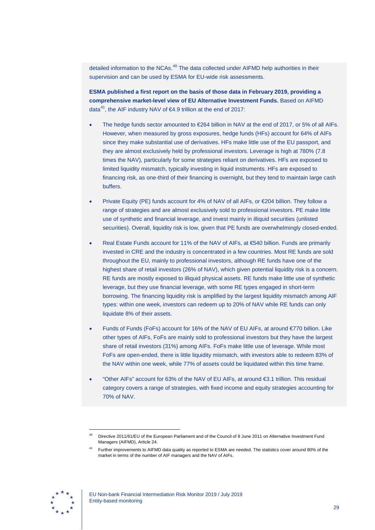detailed information to the NCAs.<sup>[40](#page-29-0)</sup> The data collected under AIFMD help authorities in their supervision and can be used by ESMA for EU-wide risk assessments.

**ESMA published a first report on the basis of those data in February 2019, providing a comprehensive market-level view of EU Alternative Investment Funds.** Based on AIFMD data<sup>[41](#page-29-1)</sup>, the AIF industry NAV of  $64.9$  trillion at the end of 2017:

- The hedge funds sector amounted to  $E64$  billion in NAV at the end of 2017, or 5% of all AIFs. However, when measured by gross exposures, hedge funds (HFs) account for 64% of AIFs since they make substantial use of derivatives. HFs make little use of the EU passport, and they are almost exclusively held by professional investors. Leverage is high at 780% (7.8 times the NAV), particularly for some strategies reliant on derivatives. HFs are exposed to limited liquidity mismatch, typically investing in liquid instruments. HFs are exposed to financing risk, as one-third of their financing is overnight, but they tend to maintain large cash buffers.
- Private Equity (PE) funds account for 4% of NAV of all AIFs, or €204 billion. They follow a range of strategies and are almost exclusively sold to professional investors. PE make little use of synthetic and financial leverage, and invest mainly in illiquid securities (unlisted securities). Overall, liquidity risk is low, given that PE funds are overwhelmingly closed-ended.
- Real Estate Funds account for 11% of the NAV of AIFs, at €540 billion. Funds are primarily invested in CRE and the industry is concentrated in a few countries. Most RE funds are sold throughout the EU, mainly to professional investors, although RE funds have one of the highest share of retail investors (26% of NAV), which given potential liquidity risk is a concern. RE funds are mostly exposed to illiquid physical assets. RE funds make little use of synthetic leverage, but they use financial leverage, with some RE types engaged in short-term borrowing. The financing liquidity risk is amplified by the largest liquidity mismatch among AIF types: within one week, investors can redeem up to 20% of NAV while RE funds can only liquidate 8% of their assets.
- Funds of Funds (FoFs) account for 16% of the NAV of EU AIFs, at around €770 billion. Like other types of AIFs, FoFs are mainly sold to professional investors but they have the largest share of retail investors (31%) among AIFs. FoFs make little use of leverage. While most FoFs are open-ended, there is little liquidity mismatch, with investors able to redeem 83% of the NAV within one week, while 77% of assets could be liquidated within this time frame.
- "Other AIFs" account for 63% of the NAV of EU AIFs, at around €3.1 trillion. This residual category covers a range of strategies, with fixed income and equity strategies accounting for 70% of NAV.

<span id="page-29-1"></span><span id="page-29-0"></span>

<sup>40</sup> Directive 2011/61/EU of the European Parliament and of the Council of 8 June 2011 on Alternative Investment Fund Managers (AIFMD), Article 24.

<sup>41</sup> Further improvements to AIFMD data quality as reported to ESMA are needed. The statistics cover around 80% of the market in terms of the number of AIF managers and the NAV of AIFs.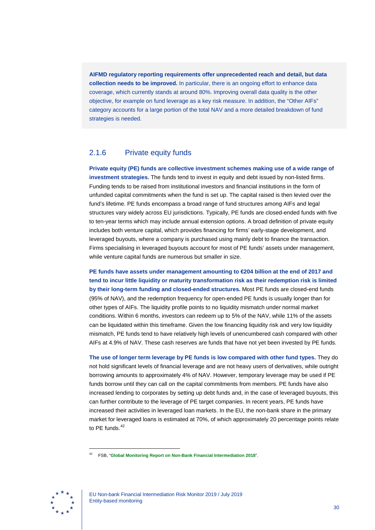**AIFMD regulatory reporting requirements offer unprecedented reach and detail, but data collection needs to be improved.** In particular, there is an ongoing effort to enhance data coverage, which currently stands at around 80%. Improving overall data quality is the other objective, for example on fund leverage as a key risk measure. In addition, the "Other AIFs" category accounts for a large portion of the total NAV and a more detailed breakdown of fund strategies is needed.

## <span id="page-30-0"></span>2.1.6 Private equity funds

**Private equity (PE) funds are collective investment schemes making use of a wide range of investment strategies.** The funds tend to invest in equity and debt issued by non-listed firms. Funding tends to be raised from institutional investors and financial institutions in the form of unfunded capital commitments when the fund is set up. The capital raised is then levied over the fund's lifetime. PE funds encompass a broad range of fund structures among AIFs and legal structures vary widely across EU jurisdictions. Typically, PE funds are closed-ended funds with five to ten-year terms which may include annual extension options. A broad definition of private equity includes both venture capital, which provides financing for firms' early-stage development, and leveraged buyouts, where a company is purchased using mainly debt to finance the transaction. Firms specialising in leveraged buyouts account for most of PE funds' assets under management, while venture capital funds are numerous but smaller in size.

**PE funds have assets under management amounting to €204 billion at the end of 2017 and tend to incur little liquidity or maturity transformation risk as their redemption risk is limited by their long-term funding and closed-ended structures.** Most PE funds are closed-end funds (95% of NAV), and the redemption frequency for open-ended PE funds is usually longer than for other types of AIFs. The liquidity profile points to no liquidity mismatch under normal market conditions. Within 6 months, investors can redeem up to 5% of the NAV, while 11% of the assets can be liquidated within this timeframe. Given the low financing liquidity risk and very low liquidity mismatch, PE funds tend to have relatively high levels of unencumbered cash compared with other AIFs at 4.9% of NAV. These cash reserves are funds that have not yet been invested by PE funds.

**The use of longer term leverage by PE funds is low compared with other fund types.** They do not hold significant levels of financial leverage and are not heavy users of derivatives, while outright borrowing amounts to approximately 4% of NAV. However, temporary leverage may be used if PE funds borrow until they can call on the capital commitments from members. PE funds have also increased lending to corporates by setting up debt funds and, in the case of leveraged buyouts, this can further contribute to the leverage of PE target companies. In recent years, PE funds have increased their activities in leveraged loan markets. In the EU, the non-bank share in the primary market for leveraged loans is estimated at 70%, of which approximately 20 percentage points relate to PE funds. $42$ 

<span id="page-30-1"></span>

<sup>42</sup> FSB, "**[Global Monitoring Report on Non-Bank Financial Intermediation 2018](https://www.fsb.org/2019/02/global-monitoring-report-on-non-bank-financial-intermediation-2018/)**".

EU Non-bank Financial Intermediation Risk Monitor 2019 / July 2019 Entity-based monitoring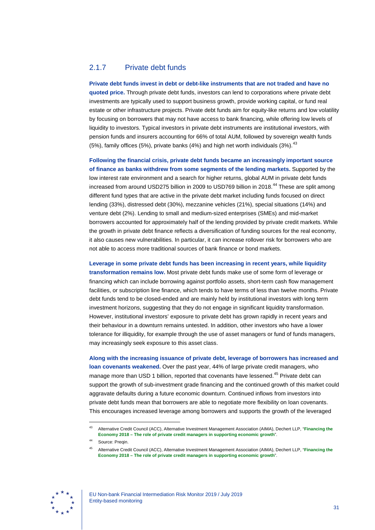# <span id="page-31-0"></span>2.1.7 Private debt funds

**Private debt funds invest in debt or debt-like instruments that are not traded and have no quoted price.** Through private debt funds, investors can lend to corporations where private debt investments are typically used to support business growth, provide working capital, or fund real estate or other infrastructure projects. Private debt funds aim for equity-like returns and low volatility by focusing on borrowers that may not have access to bank financing, while offering low levels of liquidity to investors. Typical investors in private debt instruments are institutional investors, with pension funds and insurers accounting for 66% of total AUM, followed by sovereign wealth funds (5%), family offices (5%), private banks (4%) and high net worth individuals (3%).  $^{43}$  $^{43}$  $^{43}$ 

**Following the financial crisis, private debt funds became an increasingly important source of finance as banks withdrew from some segments of the lending markets.** Supported by the low interest rate environment and a search for higher returns, global AUM in private debt funds increased from around USD275 billion in 2009 to USD769 billion in 2018.<sup>[44](#page-31-2)</sup> These are split among different fund types that are active in the private debt market including funds focused on direct lending (33%), distressed debt (30%), mezzanine vehicles (21%), special situations (14%) and venture debt (2%). Lending to small and medium-sized enterprises (SMEs) and mid-market borrowers accounted for approximately half of the lending provided by private credit markets. While the growth in private debt finance reflects a diversification of funding sources for the real economy, it also causes new vulnerabilities. In particular, it can increase rollover risk for borrowers who are not able to access more traditional sources of bank finance or bond markets.

**Leverage in some private debt funds has been increasing in recent years, while liquidity transformation remains low.** Most private debt funds make use of some form of leverage or financing which can include borrowing against portfolio assets, short-term cash flow management facilities, or subscription line finance, which tends to have terms of less than twelve months. Private debt funds tend to be closed-ended and are mainly held by institutional investors with long term investment horizons, suggesting that they do not engage in significant liquidity transformation. However, institutional investors' exposure to private debt has grown rapidly in recent years and their behaviour in a downturn remains untested. In addition, other investors who have a lower tolerance for illiquidity, for example through the use of asset managers or fund of funds managers, may increasingly seek exposure to this asset class.

**Along with the increasing issuance of private debt, leverage of borrowers has increased and loan covenants weakened.** Over the past year, 44% of large private credit managers, who manage more than USD 1 billion, reported that covenants have lessened.<sup>[45](#page-31-3)</sup> Private debt can support the growth of sub-investment grade financing and the continued growth of this market could aggravate defaults during a future economic downturn. Continued inflows from investors into private debt funds mean that borrowers are able to negotiate more flexibility on loan covenants. This encourages increased leverage among borrowers and supports the growth of the leveraged

<span id="page-31-3"></span><span id="page-31-2"></span><span id="page-31-1"></span>

<sup>43</sup> Alternative Credit Council (ACC), Alternative Investment Management Association (AIMA), Dechert LLP, "**[Financing the](https://www.aima.org/educate/aima-research/fte-2018.html)  Economy 2018 – [The role of private credit managers in supporting economic growth](https://www.aima.org/educate/aima-research/fte-2018.html)**".

Source: Preqin.

<sup>45</sup> Alternative Credit Council (ACC), Alternative Investment Management Association (AIMA), Dechert LLP, "**[Financing the](https://www.aima.org/educate/aima-research/fte-2018.html)  Economy 2018 – [The role of private credit managers in supporting economic growth](https://www.aima.org/educate/aima-research/fte-2018.html)**".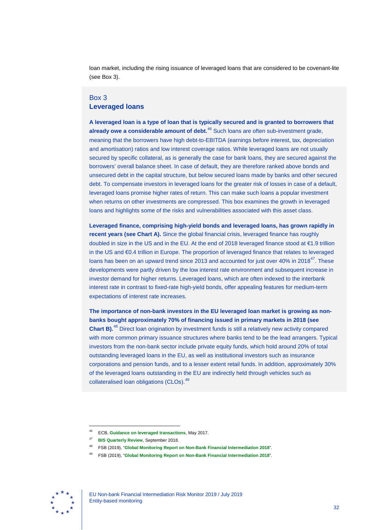loan market, including the rising issuance of leveraged loans that are considered to be covenant-lite (see Box 3).

### <span id="page-32-0"></span>Box 3 **Leveraged loans**

**A leveraged loan is a type of loan that is typically secured and is granted to borrowers that already owe a considerable amount of debt.**[46](#page-32-1) Such loans are often sub-investment grade, meaning that the borrowers have high debt-to-EBITDA (earnings before interest, tax, depreciation and amortisation) ratios and low interest coverage ratios. While leveraged loans are not usually secured by specific collateral, as is generally the case for bank loans, they are secured against the borrowers' overall balance sheet. In case of default, they are therefore ranked above bonds and unsecured debt in the capital structure, but below secured loans made by banks and other secured debt. To compensate investors in leveraged loans for the greater risk of losses in case of a default, leveraged loans promise higher rates of return. This can make such loans a popular investment when returns on other investments are compressed. This box examines the growth in leveraged loans and highlights some of the risks and vulnerabilities associated with this asset class.

**Leveraged finance, comprising high-yield bonds and leveraged loans, has grown rapidly in recent years (see Chart A).** Since the global financial crisis, leveraged finance has roughly doubled in size in the US and in the EU. At the end of 2018 leveraged finance stood at €1.9 trillion in the US and €0.4 trillion in Europe. The proportion of leveraged finance that relates to leveraged loans has been on an upward trend since 2013 and accounted for just over 40% in 2018<sup>47</sup>. These developments were partly driven by the low interest rate environment and subsequent increase in investor demand for higher returns. Leveraged loans, which are often indexed to the interbank interest rate in contrast to fixed-rate high-yield bonds, offer appealing features for medium-term expectations of interest rate increases.

**The importance of non-bank investors in the EU leveraged loan market is growing as nonbanks bought approximately 70% of financing issued in primary markets in 2018 (see Chart B).**[48](#page-32-3) Direct loan origination by investment funds is still a relatively new activity compared with more common primary issuance structures where banks tend to be the lead arrangers. Typical investors from the non-bank sector include private equity funds, which hold around 20% of total outstanding leveraged loans in the EU, as well as institutional investors such as insurance corporations and pension funds, and to a lesser extent retail funds. In addition, approximately 30% of the leveraged loans outstanding in the EU are indirectly held through vehicles such as collateralised loan obligations (CLOs).<sup>[49](#page-32-4)</sup>

<span id="page-32-4"></span><span id="page-32-3"></span><span id="page-32-2"></span><span id="page-32-1"></span>

<sup>46</sup> ECB, **[Guidance on leveraged transactions](https://www.bankingsupervision.europa.eu/ecb/pub/pdf/ssm.leveraged_transactions_guidance_201705.en.pdf)**, May 2017.

<sup>47</sup> **[BIS Quarterly Review](https://www.bis.org/publ/qtrpdf/r_qt1809u.htm)**, September 2018.

<sup>48</sup> FSB (2019), "**[Global Monitoring Report on Non-Bank Financial Intermediation 2018](http://www.fsb.org/wp-content/uploads/P040219.pdf)**".

<sup>49</sup> FSB (2019), "**[Global Monitoring Report on Non-Bank Financial Intermediation 2018](http://www.fsb.org/wp-content/uploads/P040219.pdf)**".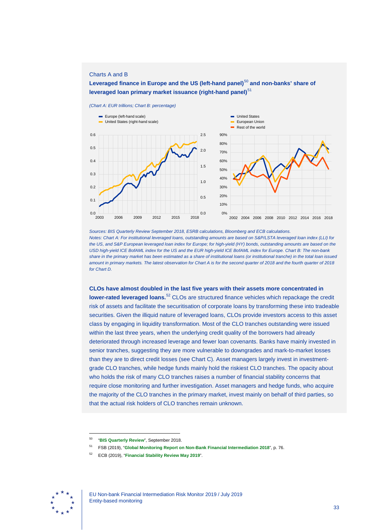### Charts A and B

**Leveraged finance in Europe and the US (left-hand panel)** [50](#page-33-0) **and non-banks' share of leveraged loan primary market issuance (right-hand panel)** [51](#page-33-1)

*(Chart A: EUR trillions; Chart B: percentage)*





*Sources: BIS Quarterly Review September 2018, ESRB calculations, Bloomberg and ECB calculations. Notes: Chart A: For institutional leveraged loans, outstanding amounts are based on S&P/LSTA leveraged loan index (LLI) for the US, and S&P European leveraged loan index for Europe; for high-yield (HY) bonds, outstanding amounts are based on the USD high-yield ICE BofAML index for the US and the EUR high-yield ICE BofAML index for Europe. Chart B: The non-bank share in the primary market has been estimated as a share of institutional loans (or institutional tranche) in the total loan issued amount in primary markets. The latest observation for Chart A is for the second quarter of 2018 and the fourth quarter of 2018 for Chart D.*

**CLOs have almost doubled in the last five years with their assets more concentrated in lower-rated leveraged loans.**<sup>[52](#page-33-2)</sup> CLOs are structured finance vehicles which repackage the credit risk of assets and facilitate the securitisation of corporate loans by transforming these into tradeable securities. Given the illiquid nature of leveraged loans, CLOs provide investors access to this asset class by engaging in liquidity transformation. Most of the CLO tranches outstanding were issued within the last three years, when the underlying credit quality of the borrowers had already deteriorated through increased leverage and fewer loan covenants. Banks have mainly invested in senior tranches, suggesting they are more vulnerable to downgrades and mark-to-market losses than they are to direct credit losses (see Chart C). Asset managers largely invest in investmentgrade CLO tranches, while hedge funds mainly hold the riskiest CLO tranches. The opacity about who holds the risk of many CLO tranches raises a number of financial stability concerns that require close monitoring and further investigation. Asset managers and hedge funds, who acquire the majority of the CLO tranches in the primary market, invest mainly on behalf of third parties, so that the actual risk holders of CLO tranches remain unknown.

<span id="page-33-2"></span><span id="page-33-1"></span><span id="page-33-0"></span>

<sup>50</sup> "**[BIS Quarterly Review](https://www.bis.org/publ/qtrpdf/r_qt1809u.htm)**", September 2018.

<sup>51</sup> FSB (2019), "**[Global Monitoring Report on Non-Bank Financial Intermediation 2018](https://www.fsb.org/2019/02/global-monitoring-report-on-non-bank-financial-intermediation-2018/)**", p. 76.

<sup>52</sup> ECB (2019), "**[Financial Stability Review May 2019](https://www.ecb.europa.eu/pub/financial-stability/fsr/html/ecb.fsr201905%7E266e856634.en.html)**".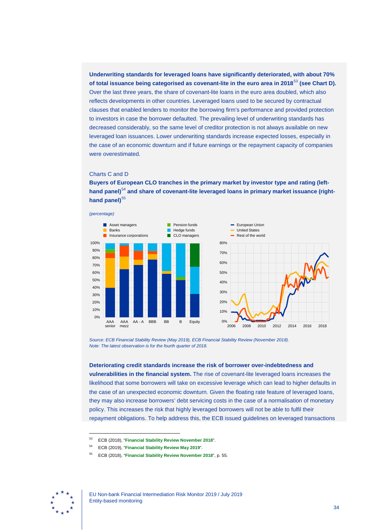**Underwriting standards for leveraged loans have significantly deteriorated, with about 70% of total issuance being categorised as covenant-lite in the euro area in 2018**[53](#page-34-0) **(see Chart D).** Over the last three years, the share of covenant-lite loans in the euro area doubled, which also reflects developments in other countries. Leveraged loans used to be secured by contractual clauses that enabled lenders to monitor the borrowing firm's performance and provided protection to investors in case the borrower defaulted. The prevailing level of underwriting standards has decreased considerably, so the same level of creditor protection is not always available on new leveraged loan issuances. Lower underwriting standards increase expected losses, especially in the case of an economic downturn and if future earnings or the repayment capacity of companies were overestimated.

### Charts C and D

**Buyers of European CLO tranches in the primary market by investor type and rating (lefthand panel)** [54](#page-34-1) **and share of covenant-lite leveraged loans in primary market issuance (righthand panel)** [55](#page-34-2)





*Source: ECB Financial Stability Review (May 2019), ECB Financial Stability Review (November 2018). Note: The latest observation is for the fourth quarter of 2018.*

#### **Deteriorating credit standards increase the risk of borrower over-indebtedness and**

**vulnerabilities in the financial system.** The rise of covenant-lite leveraged loans increases the likelihood that some borrowers will take on excessive leverage which can lead to higher defaults in the case of an unexpected economic downturn. Given the floating rate feature of leveraged loans, they may also increase borrowers' debt servicing costs in the case of a normalisation of monetary policy. This increases the risk that highly leveraged borrowers will not be able to fulfil their repayment obligations. To help address this, the ECB issued guidelines on leveraged transactions

<span id="page-34-2"></span><span id="page-34-1"></span><span id="page-34-0"></span>

<sup>53</sup> ECB (2018), "**[Financial Stability Review November 2018](https://www.ecb.europa.eu/pub/pdf/fsr/ecb.fsr201811.en.pdf)**".

<sup>54</sup> ECB (2019), "**[Financial Stability Review May 2019](https://www.ecb.europa.eu/pub/financial-stability/fsr/html/ecb.fsr201905%7E266e856634.en.html)**".

<sup>55</sup> ECB (2018), "**[Financial Stability Review November 2018](https://www.ecb.europa.eu/pub/pdf/fsr/ecb.fsr201811.en.pdf)**", p. 55.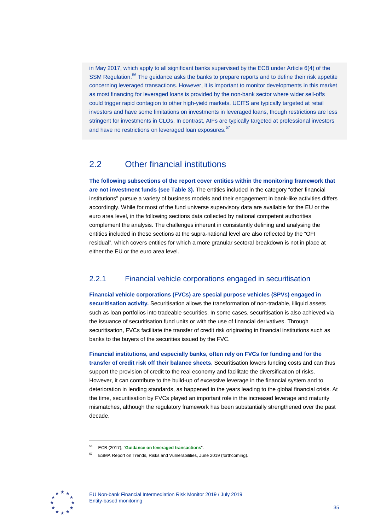in May 2017, which apply to all significant banks supervised by the ECB under Article 6(4) of the SSM Regulation.<sup>[56](#page-35-2)</sup> The guidance asks the banks to prepare reports and to define their risk appetite concerning leveraged transactions. However, it is important to monitor developments in this market as most financing for leveraged loans is provided by the non-bank sector where wider sell-offs could trigger rapid contagion to other high-yield markets. UCITS are typically targeted at retail investors and have some limitations on investments in leveraged loans, though restrictions are less stringent for investments in CLOs. In contrast, AIFs are typically targeted at professional investors and have no restrictions on leveraged loan exposures.<sup>[57](#page-35-3)</sup>

# <span id="page-35-0"></span>2.2 Other financial institutions

**The following subsections of the report cover entities within the monitoring framework that are not investment funds (see Table 3).** The entities included in the category "other financial institutions" pursue a variety of business models and their engagement in bank-like activities differs accordingly. While for most of the fund universe supervisory data are available for the EU or the euro area level, in the following sections data collected by national competent authorities complement the analysis. The challenges inherent in consistently defining and analysing the entities included in these sections at the supra-national level are also reflected by the "OFI residual", which covers entities for which a more granular sectoral breakdown is not in place at either the EU or the euro area level.

## <span id="page-35-1"></span>2.2.1 Financial vehicle corporations engaged in securitisation

**Financial vehicle corporations (FVCs) are special purpose vehicles (SPVs) engaged in securitisation activity.** Securitisation allows the transformation of non-tradable, illiquid assets such as loan portfolios into tradeable securities. In some cases, securitisation is also achieved via the issuance of securitisation fund units or with the use of financial derivatives. Through securitisation, FVCs facilitate the transfer of credit risk originating in financial institutions such as banks to the buyers of the securities issued by the FVC.

# **Financial institutions, and especially banks, often rely on FVCs for funding and for the**

**transfer of credit risk off their balance sheets.** Securitisation lowers funding costs and can thus support the provision of credit to the real economy and facilitate the diversification of risks. However, it can contribute to the build-up of excessive leverage in the financial system and to deterioration in lending standards, as happened in the years leading to the global financial crisis. At the time, securitisation by FVCs played an important role in the increased leverage and maturity mismatches, although the regulatory framework has been substantially strengthened over the past decade.

<span id="page-35-3"></span><span id="page-35-2"></span>

<sup>56</sup> ECB (2017), "**[Guidance on leveraged transactions](https://www.bankingsupervision.europa.eu/ecb/pub/pdf/ssm.leveraged_transactions_guidance_201705.en.pdf)**".

<sup>57</sup> ESMA Report on Trends, Risks and Vulnerabilities, June 2019 (forthcoming).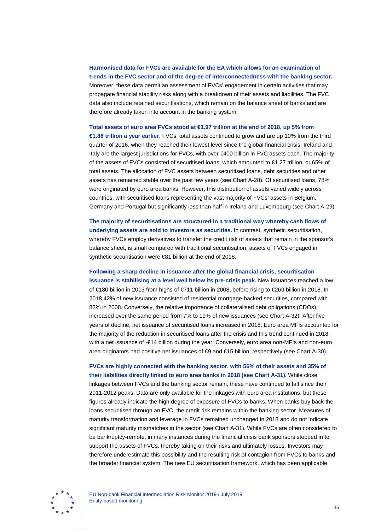**Harmonised data for FVCs are available for the EA which allows for an examination of trends in the FVC sector and of the degree of interconnectedness with the banking sector.** Moreover, these data permit an assessment of FVCs' engagement in certain activities that may propagate financial stability risks along with a breakdown of their assets and liabilities. The FVC data also include retained securitisations, which remain on the balance sheet of banks and are therefore already taken into account in the banking system.

**Total assets of euro area FVCs stood at €1.97 trillion at the end of 2018, up 5% from €1.88 trillion a year earlier.** FVCs' total assets continued to grow and are up 10% from the third quarter of 2016, when they reached their lowest level since the global financial crisis. Ireland and Italy are the largest jurisdictions for FVCs, with over €400 billion in FVC assets each. The majority of the assets of FVCs consisted of securitised loans, which amounted to €1.27 trillion, or 65% of total assets. The allocation of FVC assets between securitised loans, debt securities and other assets has remained stable over the past few years (see Chart A-28). Of securitised loans, 78% were originated by euro area banks. However, this distribution of assets varied widely across countries, with securitised loans representing the vast majority of FVCs' assets in Belgium, Germany and Portugal but significantly less than half in Ireland and Luxembourg (see Chart A-29).

**The majority of securitisations are structured in a traditional way whereby cash flows of underlying assets are sold to investors as securities.** In contrast, synthetic securitisation, whereby FVCs employ derivatives to transfer the credit risk of assets that remain in the sponsor's balance sheet, is small compared with traditional securitisation: assets of FVCs engaged in synthetic securitisation were €81 billion at the end of 2018.

**Following a sharp decline in issuance after the global financial crisis, securitisation issuance is stabilising at a level well below its pre-crisis peak.** New issuances reached a low of €180 billion in 2013 from highs of €711 billion in 2008, before rising to €269 billion in 2018. In 2018 42% of new issuance consisted of residential mortgage-backed securities, compared with 82% in 2008. Conversely, the relative importance of collateralised debt obligations (CDOs) increased over the same period from 7% to 19% of new issuances (see Chart A-32). After five years of decline, net issuance of securitised loans increased in 2018. Euro area MFIs accounted for the majority of the reduction in securitised loans after the crisis and this trend continued in 2018, with a net issuance of -€14 billion during the year. Conversely, euro area non-MFIs and non-euro area originators had positive net issuances of €9 and €15 billion, respectively (see Chart A-30).

**FVCs are highly connected with the banking sector, with 56% of their assets and 35% of their liabilities directly linked to euro area banks in 2018 (see Chart A-31).** While close linkages between FVCs and the banking sector remain, these have continued to fall since their 2011-2012 peaks. Data are only available for the linkages with euro area institutions, but these figures already indicate the high degree of exposure of FVCs to banks. When banks buy back the loans securitised through an FVC, the credit risk remains within the banking sector. Measures of maturity transformation and leverage in FVCs remained unchanged in 2018 and do not indicate significant maturity mismatches in the sector (see Chart A-31). While FVCs are often considered to be bankruptcy-remote, in many instances during the financial crisis bank sponsors stepped in to support the assets of FVCs, thereby taking on their risks and ultimately losses. Investors may therefore underestimate this possibility and the resulting risk of contagion from FVCs to banks and the broader financial system. The new EU securitisation framework, which has been applicable

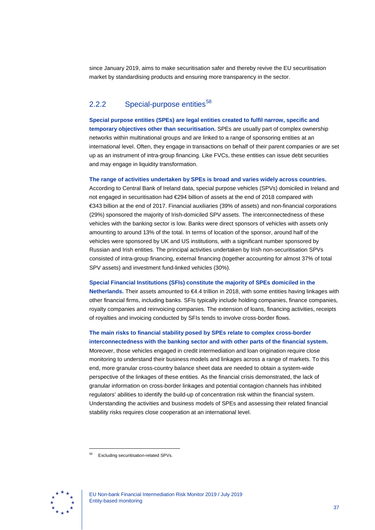since January 2019, aims to make securitisation safer and thereby revive the EU securitisation market by standardising products and ensuring more transparency in the sector.

# 2.2.2 Special-purpose entities $58$

**Special purpose entities (SPEs) are legal entities created to fulfil narrow, specific and temporary objectives other than securitisation.** SPEs are usually part of complex ownership networks within multinational groups and are linked to a range of sponsoring entities at an international level. Often, they engage in transactions on behalf of their parent companies or are set up as an instrument of intra-group financing. Like FVCs, these entities can issue debt securities and may engage in liquidity transformation.

#### **The range of activities undertaken by SPEs is broad and varies widely across countries.**

According to Central Bank of Ireland data, special purpose vehicles (SPVs) domiciled in Ireland and not engaged in securitisation had €294 billion of assets at the end of 2018 compared with €343 billion at the end of 2017. Financial auxiliaries (39% of assets) and non-financial corporations (29%) sponsored the majority of Irish-domiciled SPV assets. The interconnectedness of these vehicles with the banking sector is low. Banks were direct sponsors of vehicles with assets only amounting to around 13% of the total. In terms of location of the sponsor, around half of the vehicles were sponsored by UK and US institutions, with a significant number sponsored by Russian and Irish entities. The principal activities undertaken by Irish non-securitisation SPVs consisted of intra-group financing, external financing (together accounting for almost 37% of total SPV assets) and investment fund-linked vehicles (30%).

#### **Special Financial Institutions (SFIs) constitute the majority of SPEs domiciled in the**

**Netherlands.** Their assets amounted to €4.4 trillion in 2018, with some entities having linkages with other financial firms, including banks. SFIs typically include holding companies, finance companies, royalty companies and reinvoicing companies. The extension of loans, financing activities, receipts of royalties and invoicing conducted by SFIs tends to involve cross-border flows.

# **The main risks to financial stability posed by SPEs relate to complex cross-border**

**interconnectedness with the banking sector and with other parts of the financial system.** Moreover, those vehicles engaged in credit intermediation and loan origination require close monitoring to understand their business models and linkages across a range of markets. To this end, more granular cross-country balance sheet data are needed to obtain a system-wide perspective of the linkages of these entities. As the financial crisis demonstrated, the lack of granular information on cross-border linkages and potential contagion channels has inhibited regulators' abilities to identify the build-up of concentration risk within the financial system. Understanding the activities and business models of SPEs and assessing their related financial stability risks requires close cooperation at an international level.

<span id="page-37-0"></span>

<sup>58</sup> Excluding securitisation-related SPVs.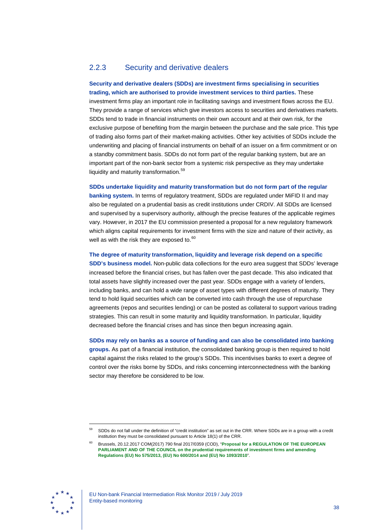# 2.2.3 Security and derivative dealers

## **Security and derivative dealers (SDDs) are investment firms specialising in securities trading, which are authorised to provide investment services to third parties.** These

investment firms play an important role in facilitating savings and investment flows across the EU. They provide a range of services which give investors access to securities and derivatives markets. SDDs tend to trade in financial instruments on their own account and at their own risk, for the exclusive purpose of benefiting from the margin between the purchase and the sale price. This type of trading also forms part of their market-making activities. Other key activities of SDDs include the underwriting and placing of financial instruments on behalf of an issuer on a firm commitment or on a standby commitment basis. SDDs do not form part of the regular banking system, but are an important part of the non-bank sector from a systemic risk perspective as they may undertake liquidity and maturity transformation.[59](#page-38-0)

**SDDs undertake liquidity and maturity transformation but do not form part of the regular banking system.** In terms of regulatory treatment, SDDs are regulated under MiFID II and may also be regulated on a prudential basis as credit institutions under CRDIV. All SDDs are licensed and supervised by a supervisory authority, although the precise features of the applicable regimes vary. However, in 2017 the EU commission presented a proposal for a new regulatory framework which aligns capital requirements for investment firms with the size and nature of their activity, as well as with the risk they are exposed to.<sup>[60](#page-38-1)</sup>

## **The degree of maturity transformation, liquidity and leverage risk depend on a specific**

**SDD's business model.** Non-public data collections for the euro area suggest that SDDs' leverage increased before the financial crises, but has fallen over the past decade. This also indicated that total assets have slightly increased over the past year. SDDs engage with a variety of lenders, including banks, and can hold a wide range of asset types with different degrees of maturity. They tend to hold liquid securities which can be converted into cash through the use of repurchase agreements (repos and securities lending) or can be posted as collateral to support various trading strategies. This can result in some maturity and liquidity transformation. In particular, liquidity decreased before the financial crises and has since then begun increasing again.

**SDDs may rely on banks as a source of funding and can also be consolidated into banking** 

**groups.** As part of a financial institution, the consolidated banking group is then required to hold capital against the risks related to the group's SDDs. This incentivises banks to exert a degree of control over the risks borne by SDDs, and risks concerning interconnectedness with the banking sector may therefore be considered to be low.

<span id="page-38-1"></span><span id="page-38-0"></span>

<sup>59</sup> SDDs do not fall under the definition of "credit institution" as set out in the CRR. Where SDDs are in a group with a credit institution they must be consolidated pursuant to Article 18(1) of the CRR.

<sup>60</sup> Brussels, 20.12.2017 COM(2017) 790 final 2017/0359 (COD), "**[Proposal for a REGULATION OF THE EUROPEAN](https://eur-lex.europa.eu/legal-content/EN/TXT/?uri=CELEX%3A52017PC0790)  [PARLIAMENT AND OF THE COUNCIL on the prudential requirements of investment firms and amending](https://eur-lex.europa.eu/legal-content/EN/TXT/?uri=CELEX%3A52017PC0790)  [Regulations \(EU\) No 575/2013, \(EU\) No 600/2014 and \(EU\) No 1093/2010](https://eur-lex.europa.eu/legal-content/EN/TXT/?uri=CELEX%3A52017PC0790)**".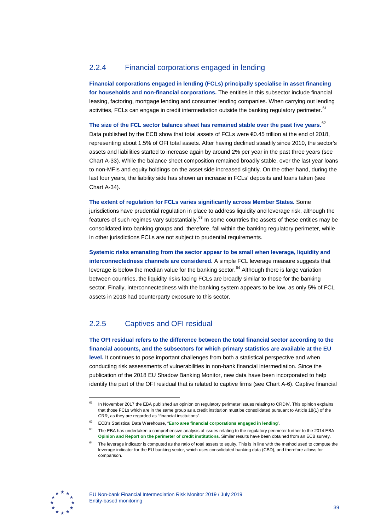# 2.2.4 Financial corporations engaged in lending

**Financial corporations engaged in lending (FCLs) principally specialise in asset financing for households and non-financial corporations.** The entities in this subsector include financial leasing, factoring, mortgage lending and consumer lending companies. When carrying out lending activities, FCLs can engage in credit intermediation outside the banking regulatory perimeter.<sup>[61](#page-39-0)</sup>

**The size of the FCL sector balance sheet has remained stable over the past five years.**[62](#page-39-1)

Data published by the ECB show that total assets of FCLs were €0.45 trillion at the end of 2018, representing about 1.5% of OFI total assets. After having declined steadily since 2010, the sector's assets and liabilities started to increase again by around 2% per year in the past three years (see Chart A-33). While the balance sheet composition remained broadly stable, over the last year loans to non-MFIs and equity holdings on the asset side increased slightly. On the other hand, during the last four years, the liability side has shown an increase in FCLs' deposits and loans taken (see Chart A-34).

**The extent of regulation for FCLs varies significantly across Member States.** Some jurisdictions have prudential regulation in place to address liquidity and leverage risk, although the features of such regimes vary substantially.<sup>[63](#page-39-2)</sup> In some countries the assets of these entities may be consolidated into banking groups and, therefore, fall within the banking regulatory perimeter, while in other jurisdictions FCLs are not subject to prudential requirements.

**Systemic risks emanating from the sector appear to be small when leverage, liquidity and interconnectedness channels are considered.** A simple FCL leverage measure suggests that leverage is below the median value for the banking sector. $64$  Although there is large variation between countries, the liquidity risks facing FCLs are broadly similar to those for the banking sector. Finally, interconnectedness with the banking system appears to be low, as only 5% of FCL assets in 2018 had counterparty exposure to this sector.

# 2.2.5 Captives and OFI residual

**The OFI residual refers to the difference between the total financial sector according to the financial accounts, and the subsectors for which primary statistics are available at the EU level.** It continues to pose important challenges from both a statistical perspective and when conducting risk assessments of vulnerabilities in non-bank financial intermediation. Since the publication of the 2018 EU Shadow Banking Monitor, new data have been incorporated to help identify the part of the OFI residual that is related to captive firms (see Chart A-6). Captive financial

<span id="page-39-3"></span><span id="page-39-2"></span><span id="page-39-1"></span>

<span id="page-39-0"></span><sup>&</sup>lt;sup>61</sup> In November 2017 the EBA published an opinion on regulatory perimeter issues relating to CRDIV. This opinion explains that those FCLs which are in the same group as a credit institution must be consolidated pursuant to Article 18(1) of the CRR, as they are regarded as "financial institutions".

<sup>62</sup> ECB's Statistical Data Warehouse, "**[Euro area financial corporations engaged in lending](http://sdw.ecb.europa.eu/reports.do?node=1000005697)**".

The EBA has undertaken a comprehensive analysis of issues relating to the regulatory perimeter further to the 2014 EBA **[Opinion and Report on the perimeter of credit institutions](https://www.eba.europa.eu/-/eba-publishes-an-opinion-and-report-on-regulatory-perimeter-issues-relating-to-the-crdiv-crr)**. Similar results have been obtained from an ECB survey.

The leverage indicator is computed as the ratio of total assets to equity. This is in line with the method used to compute the leverage indicator for the EU banking sector, which uses consolidated banking data (CBD), and therefore allows for comparison.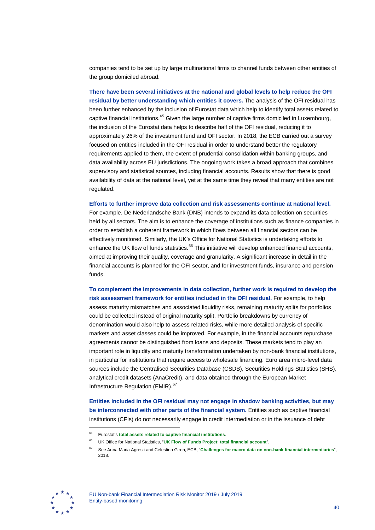companies tend to be set up by large multinational firms to channel funds between other entities of the group domiciled abroad.

**There have been several initiatives at the national and global levels to help reduce the OFI residual by better understanding which entities it covers.** The analysis of the OFI residual has been further enhanced by the inclusion of Eurostat data which help to identify total assets related to captive financial institutions.<sup>[65](#page-40-0)</sup> Given the large number of captive firms domiciled in Luxembourg, the inclusion of the Eurostat data helps to describe half of the OFI residual, reducing it to approximately 26% of the investment fund and OFI sector. In 2018, the ECB carried out a survey focused on entities included in the OFI residual in order to understand better the regulatory requirements applied to them, the extent of prudential consolidation within banking groups, and data availability across EU jurisdictions. The ongoing work takes a broad approach that combines supervisory and statistical sources, including financial accounts. Results show that there is good availability of data at the national level, yet at the same time they reveal that many entities are not regulated.

**Efforts to further improve data collection and risk assessments continue at national level.**

For example, De Nederlandsche Bank (DNB) intends to expand its data collection on securities held by all sectors. The aim is to enhance the coverage of institutions such as finance companies in order to establish a coherent framework in which flows between all financial sectors can be effectively monitored. Similarly, the UK's Office for National Statistics is undertaking efforts to enhance the UK flow of funds statistics.<sup>[66](#page-40-1)</sup> This initiative will develop enhanced financial accounts, aimed at improving their quality, coverage and granularity. A significant increase in detail in the financial accounts is planned for the OFI sector, and for investment funds, insurance and pension funds.

**To complement the improvements in data collection, further work is required to develop the risk assessment framework for entities included in the OFI residual.** For example, to help assess maturity mismatches and associated liquidity risks, remaining maturity splits for portfolios could be collected instead of original maturity split. Portfolio breakdowns by currency of denomination would also help to assess related risks, while more detailed analysis of specific markets and asset classes could be improved. For example, in the financial accounts repurchase agreements cannot be distinguished from loans and deposits. These markets tend to play an important role in liquidity and maturity transformation undertaken by non-bank financial institutions, in particular for institutions that require access to wholesale financing. Euro area micro-level data sources include the Centralised Securities Database (CSDB), Securities Holdings Statistics (SHS), analytical credit datasets (AnaCredit), and data obtained through the European Market Infrastructure Regulation (EMIR).<sup>[67](#page-40-2)</sup>

**Entities included in the OFI residual may not engage in shadow banking activities, but may be interconnected with other parts of the financial system.** Entities such as captive financial institutions (CFIs) do not necessarily engage in credit intermediation or in the issuance of debt

<span id="page-40-2"></span><span id="page-40-1"></span><span id="page-40-0"></span>

<sup>65</sup> Eurostat's **[total assets related to captive financial institutions](https://ec.europa.eu/eurostat/web/sector-accounts/data/database)**.

<sup>66</sup> UK Office for National Statistics, "**[UK Flow of Funds Project: total financial account](https://www.ons.gov.uk/economy/nationalaccounts/uksectoraccounts/datasets/ukflowoffundsprojecttotalfinancialaccount)**".

<sup>67</sup> See Anna Maria Agresti and Celestino Giron, ECB, "**[Challenges for macro data on non-bank financial intermediaries](https://www.bis.org/ifc/events/ifc_9thconf/Agresti_Giron.pdf)**", 2018.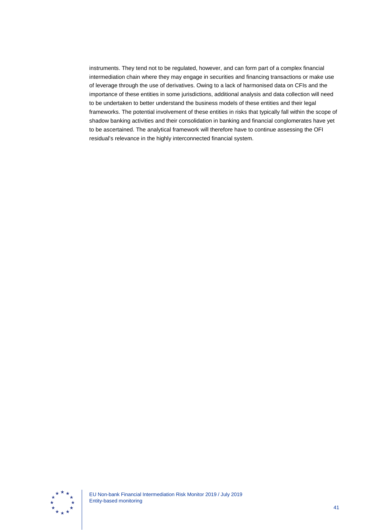instruments. They tend not to be regulated, however, and can form part of a complex financial intermediation chain where they may engage in securities and financing transactions or make use of leverage through the use of derivatives. Owing to a lack of harmonised data on CFIs and the importance of these entities in some jurisdictions, additional analysis and data collection will need to be undertaken to better understand the business models of these entities and their legal frameworks. The potential involvement of these entities in risks that typically fall within the scope of shadow banking activities and their consolidation in banking and financial conglomerates have yet to be ascertained. The analytical framework will therefore have to continue assessing the OFI residual's relevance in the highly interconnected financial system.

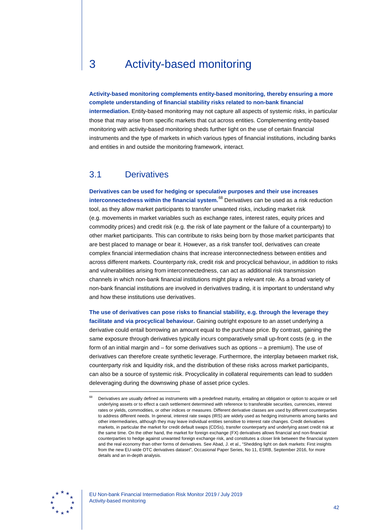# 3 Activity-based monitoring

**Activity-based monitoring complements entity-based monitoring, thereby ensuring a more complete understanding of financial stability risks related to non-bank financial** 

**intermediation.** Entity-based monitoring may not capture all aspects of systemic risks, in particular those that may arise from specific markets that cut across entities. Complementing entity-based monitoring with activity-based monitoring sheds further light on the use of certain financial instruments and the type of markets in which various types of financial institutions, including banks and entities in and outside the monitoring framework, interact.

# 3.1 Derivatives

**Derivatives can be used for hedging or speculative purposes and their use increases interconnectedness within the financial system.**[68](#page-42-0) Derivatives can be used as a risk reduction tool, as they allow market participants to transfer unwanted risks, including market risk (e.g. movements in market variables such as exchange rates, interest rates, equity prices and commodity prices) and credit risk (e.g. the risk of late payment or the failure of a counterparty) to other market participants. This can contribute to risks being born by those market participants that are best placed to manage or bear it. However, as a risk transfer tool, derivatives can create complex financial intermediation chains that increase interconnectedness between entities and across different markets. Counterparty risk, credit risk and procyclical behaviour, in addition to risks and vulnerabilities arising from interconnectedness, can act as additional risk transmission channels in which non-bank financial institutions might play a relevant role. As a broad variety of non-bank financial institutions are involved in derivatives trading, it is important to understand why and how these institutions use derivatives.

**The use of derivatives can pose risks to financial stability, e.g. through the leverage they facilitate and via procyclical behaviour.** Gaining outright exposure to an asset underlying a derivative could entail borrowing an amount equal to the purchase price. By contrast, gaining the same exposure through derivatives typically incurs comparatively small up-front costs (e.g. in the form of an initial margin and – for some derivatives such as options – a premium). The use of derivatives can therefore create synthetic leverage. Furthermore, the interplay between market risk, counterparty risk and liquidity risk, and the distribution of these risks across market participants, can also be a source of systemic risk. Procyclicality in collateral requirements can lead to sudden deleveraging during the downswing phase of asset price cycles.



<span id="page-42-0"></span><sup>68</sup> Derivatives are usually defined as instruments with a predefined maturity, entailing an obligation or option to acquire or sell underlying assets or to effect a cash settlement determined with reference to transferable securities, currencies, interest rates or yields, commodities, or other indices or measures. Different derivative classes are used by different counterparties to address different needs. In general, interest rate swaps (IRS) are widely used as hedging instruments among banks and other intermediaries, although they may leave individual entities sensitive to interest rate changes. Credit derivatives markets, in particular the market for credit default swaps (CDSs), transfer counterparty and underlying asset credit risk at the same time. On the other hand, the market for foreign exchange (FX) derivatives allows financial and non-financial counterparties to hedge against unwanted foreign exchange risk, and constitutes a closer link between the financial system and the real economy than other forms of derivatives. See Abad, J. et al., "Shedding light on dark markets: First insights from the new EU-wide OTC derivatives dataset", Occasional Paper Series, No 11, ESRB, September 2016, for more details and an in-depth analysis.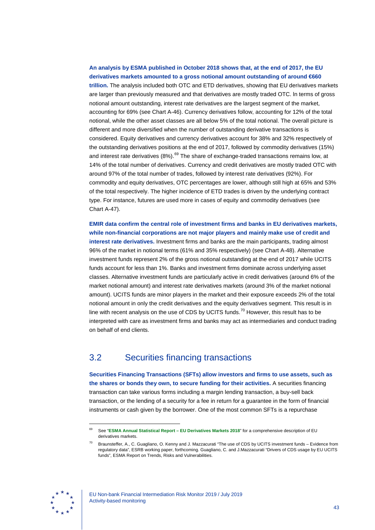## **An analysis by ESMA published in October 2018 shows that, at the end of 2017, the EU derivatives markets amounted to a gross notional amount outstanding of around €660**

**trillion.** The analysis included both OTC and ETD derivatives, showing that EU derivatives markets are larger than previously measured and that derivatives are mostly traded OTC. ln terms of gross notional amount outstanding, interest rate derivatives are the largest segment of the market, accounting for 69% (see Chart A-46). Currency derivatives follow, accounting for 12% of the total notional, while the other asset classes are all below 5% of the total notional. The overall picture is different and more diversified when the number of outstanding derivative transactions is considered. Equity derivatives and currency derivatives account for 38% and 32% respectively of the outstanding derivatives positions at the end of 2017, followed by commodity derivatives (15%) and interest rate derivatives (8%).<sup>[69](#page-43-0)</sup> The share of exchange-traded transactions remains low, at 14% of the total number of derivatives. Currency and credit derivatives are mostly traded OTC with around 97% of the total number of trades, followed by interest rate derivatives (92%). For commodity and equity derivatives, OTC percentages are lower, although still high at 65% and 53% of the total respectively. The higher incidence of ETD trades is driven by the underlying contract type. For instance, futures are used more in cases of equity and commodity derivatives (see Chart A-47).

**EMIR data confirm the central role of investment firms and banks in EU derivatives markets, while non-financial corporations are not major players and mainly make use of credit and interest rate derivatives.** Investment firms and banks are the main participants, trading almost 96% of the market in notional terms (61% and 35% respectively) (see Chart A-48). Alternative investment funds represent 2% of the gross notional outstanding at the end of 2017 while UCITS funds account for less than 1%. Banks and investment firms dominate across underlying asset classes. Alternative investment funds are particularly active in credit derivatives (around 6% of the market notional amount) and interest rate derivatives markets (around 3% of the market notional amount). UCITS funds are minor players in the market and their exposure exceeds 2% of the total notional amount in only the credit derivatives and the equity derivatives segment. This result is in line with recent analysis on the use of CDS by UCITS funds.<sup>[70](#page-43-1)</sup> However, this result has to be interpreted with care as investment firms and banks may act as intermediaries and conduct trading on behalf of end clients.

# 3.2 Securities financing transactions

**Securities Financing Transactions (SFTs) allow investors and firms to use assets, such as the shares or bonds they own, to secure funding for their activities.** A securities financing transaction can take various forms including a margin lending transaction, a buy-sell back transaction, or the lending of a security for a fee in return for a guarantee in the form of financial instruments or cash given by the borrower. One of the most common SFTs is a repurchase

<span id="page-43-1"></span><span id="page-43-0"></span>

<sup>69</sup> See "**[ESMA Annual Statistical Report](https://www.esma.europa.eu/sites/default/files/library/esma50-165-639_esma-rae_asr-derivatives_2018.pdf) – EU Derivatives Markets 2018**" for a comprehensive description of EU derivatives markets.

<sup>70</sup> Braunsteffer, A., C. Guagliano, O. Kenny and J. Mazzacurati "The use of CDS by UCITS investment funds – Evidence from regulatory data", ESRB working paper, forthcoming. Guagliano, C. and J.Mazzacurati "Drivers of CDS usage by EU UCITS funds", ESMA Report on Trends, Risks and Vulnerabilities.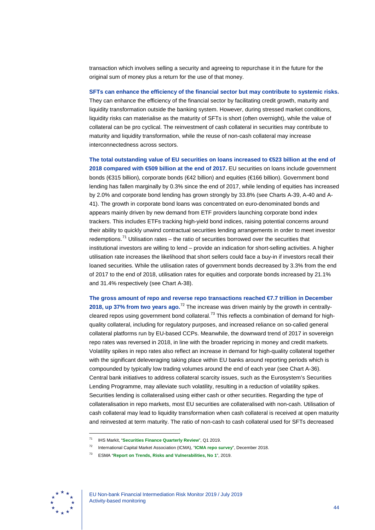transaction which involves selling a security and agreeing to repurchase it in the future for the original sum of money plus a return for the use of that money.

#### **SFTs can enhance the efficiency of the financial sector but may contribute to systemic risks.**

They can enhance the efficiency of the financial sector by facilitating credit growth, maturity and liquidity transformation outside the banking system. However, during stressed market conditions, liquidity risks can materialise as the maturity of SFTs is short (often overnight), while the value of collateral can be pro cyclical. The reinvestment of cash collateral in securities may contribute to maturity and liquidity transformation, while the reuse of non-cash collateral may increase interconnectedness across sectors.

**The total outstanding value of EU securities on loans increased to €523 billion at the end of 2018 compared with €509 billion at the end of 2017.** EU securities on loans include government bonds (€315 billion), corporate bonds (€42 billion) and equities (€166 billion). Government bond lending has fallen marginally by 0.3% since the end of 2017, while lending of equities has increased by 2.0% and corporate bond lending has grown strongly by 33.8% (see Charts A-39, A-40 and A-41). The growth in corporate bond loans was concentrated on euro-denominated bonds and appears mainly driven by new demand from ETF providers launching corporate bond index trackers. This includes ETFs tracking high-yield bond indices, raising potential concerns around their ability to quickly unwind contractual securities lending arrangements in order to meet investor redemptions.<sup>[71](#page-44-0)</sup> Utilisation rates – the ratio of securities borrowed over the securities that institutional investors are willing to lend – provide an indication for short-selling activities. A higher utilisation rate increases the likelihood that short sellers could face a buy-in if investors recall their loaned securities. While the utilisation rates of government bonds decreased by 3.3% from the end of 2017 to the end of 2018, utilisation rates for equities and corporate bonds increased by 21.1% and 31.4% respectively (see Chart A-38).

**The gross amount of repo and reverse repo transactions reached €7.7 trillion in December 2018, up 37% from two years ago.**[72](#page-44-1) The increase was driven mainly by the growth in centrally-cleared repos using government bond collateral.<sup>[73](#page-44-2)</sup> This reflects a combination of demand for highquality collateral, including for regulatory purposes, and increased reliance on so-called general collateral platforms run by EU-based CCPs. Meanwhile, the downward trend of 2017 in sovereign repo rates was reversed in 2018, in line with the broader repricing in money and credit markets. Volatility spikes in repo rates also reflect an increase in demand for high-quality collateral together with the significant deleveraging taking place within EU banks around reporting periods which is compounded by typically low trading volumes around the end of each year (see Chart A-36). Central bank initiatives to address collateral scarcity issues, such as the Eurosystem's Securities Lending Programme, may alleviate such volatility, resulting in a reduction of volatility spikes. Securities lending is collateralised using either cash or other securities. Regarding the type of collateralisation in repo markets, most EU securities are collateralised with non-cash. Utilisation of cash collateral may lead to liquidity transformation when cash collateral is received at open maturity and reinvested at term maturity. The ratio of non-cash to cash collateral used for SFTs decreased

<span id="page-44-2"></span><span id="page-44-1"></span><span id="page-44-0"></span>

<sup>71</sup> IHS Markit, "**[Securities Finance Quarterly Review](https://cdn.ihs.com/www/pdf/0419/MSF-Quarterly-Review-Q1-2019.pdf)**", Q1 2019.

<sup>72</sup> International Capital Market Association (ICMA), "**[ICMA repo survey](https://www.icmagroup.org/Regulatory-Policy-and-Market-Practice/repo-and-collateral-markets/icma-ercc-publications/repo-market-surveys/)**", December 2018.

<sup>73</sup> ESMA "**[Report on Trends, Risks and Vulnerabilities, No](https://www.esma.europa.eu/sites/default/files/library/esma50-report_on_trends_risks_and_vulnerabilities_no1_2019.pdf) 1**", 2019.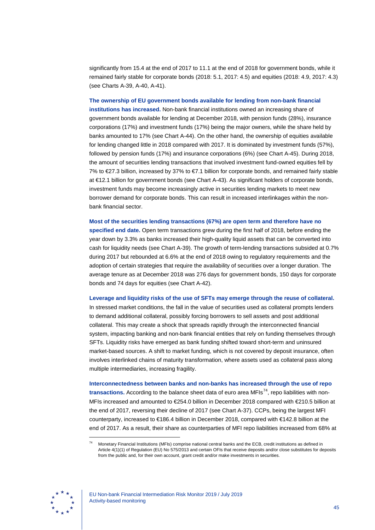significantly from 15.4 at the end of 2017 to 11.1 at the end of 2018 for government bonds, while it remained fairly stable for corporate bonds (2018: 5.1, 2017: 4.5) and equities (2018: 4.9, 2017: 4.3) (see Charts A-39, A-40, A-41).

**The ownership of EU government bonds available for lending from non-bank financial institutions has increased.** Non-bank financial institutions owned an increasing share of government bonds available for lending at December 2018, with pension funds (28%), insurance corporations (17%) and investment funds (17%) being the major owners, while the share held by banks amounted to 17% (see Chart A-44). On the other hand, the ownership of equities available for lending changed little in 2018 compared with 2017. It is dominated by investment funds (57%), followed by pension funds (17%) and insurance corporations (6%) (see Chart A-45). During 2018, the amount of securities lending transactions that involved investment fund-owned equities fell by 7% to €27.3 billion, increased by 37% to €7.1 billion for corporate bonds, and remained fairly stable at €12.1 billion for government bonds (see Chart A-43). As significant holders of corporate bonds, investment funds may become increasingly active in securities lending markets to meet new borrower demand for corporate bonds. This can result in increased interlinkages within the nonbank financial sector.

**Most of the securities lending transactions (67%) are open term and therefore have no specified end date.** Open term transactions grew during the first half of 2018, before ending the year down by 3.3% as banks increased their high-quality liquid assets that can be converted into cash for liquidity needs (see Chart A-39). The growth of term-lending transactions subsided at 0.7% during 2017 but rebounded at 6.6% at the end of 2018 owing to regulatory requirements and the adoption of certain strategies that require the availability of securities over a longer duration. The average tenure as at December 2018 was 276 days for government bonds, 150 days for corporate bonds and 74 days for equities (see Chart A-42).

**Leverage and liquidity risks of the use of SFTs may emerge through the reuse of collateral.**

In stressed market conditions, the fall in the value of securities used as collateral prompts lenders to demand additional collateral, possibly forcing borrowers to sell assets and post additional collateral. This may create a shock that spreads rapidly through the interconnected financial system, impacting banking and non-bank financial entities that rely on funding themselves through SFTs. Liquidity risks have emerged as bank funding shifted toward short-term and uninsured market-based sources. A shift to market funding, which is not covered by deposit insurance, often involves interlinked chains of maturity transformation, where assets used as collateral pass along multiple intermediaries, increasing fragility.

**Interconnectedness between banks and non-banks has increased through the use of repo transactions.** According to the balance sheet data of euro area MFIs<sup>74</sup>, repo liabilities with non-MFIs increased and amounted to €254.0 billion in December 2018 compared with €210.5 billion at the end of 2017, reversing their decline of 2017 (see Chart A-37). CCPs, being the largest MFI counterparty, increased to €186.4 billion in December 2018, compared with €142.8 billion at the end of 2017. As a result, their share as counterparties of MFI repo liabilities increased from 68% at

<span id="page-45-0"></span>

<sup>74</sup> Monetary Financial Institutions (MFIs) comprise national central banks and the ECB, credit institutions as defined in Article 4(1)(1) of Regulation (EU) No 575/2013 and certain OFIs that receive deposits and/or close substitutes for deposits from the public and, for their own account, grant credit and/or make investments in securities.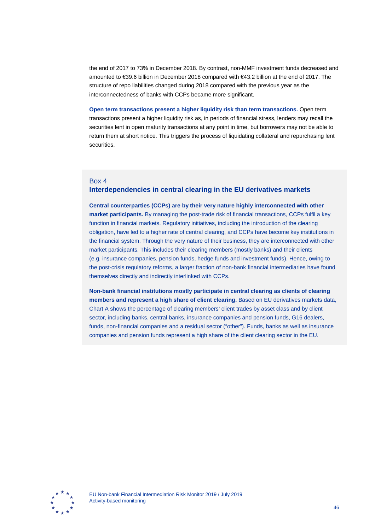the end of 2017 to 73% in December 2018. By contrast, non-MMF investment funds decreased and amounted to €39.6 billion in December 2018 compared with €43.2 billion at the end of 2017. The structure of repo liabilities changed during 2018 compared with the previous year as the interconnectedness of banks with CCPs became more significant.

**Open term transactions present a higher liquidity risk than term transactions.** Open term transactions present a higher liquidity risk as, in periods of financial stress, lenders may recall the securities lent in open maturity transactions at any point in time, but borrowers may not be able to return them at short notice. This triggers the process of liquidating collateral and repurchasing lent securities.

## Box 4

# **Interdependencies in central clearing in the EU derivatives markets**

**Central counterparties (CCPs) are by their very nature highly interconnected with other market participants.** By managing the post-trade risk of financial transactions, CCPs fulfil a key function in financial markets. Regulatory initiatives, including the introduction of the clearing obligation, have led to a higher rate of central clearing, and CCPs have become key institutions in the financial system. Through the very nature of their business, they are interconnected with other market participants. This includes their clearing members (mostly banks) and their clients (e.g. insurance companies, pension funds, hedge funds and investment funds). Hence, owing to the post-crisis regulatory reforms, a larger fraction of non-bank financial intermediaries have found themselves directly and indirectly interlinked with CCPs.

**Non-bank financial institutions mostly participate in central clearing as clients of clearing members and represent a high share of client clearing.** Based on EU derivatives markets data, Chart A shows the percentage of clearing members' client trades by asset class and by client sector, including banks, central banks, insurance companies and pension funds, G16 dealers, funds, non-financial companies and a residual sector ("other"). Funds, banks as well as insurance companies and pension funds represent a high share of the client clearing sector in the EU.

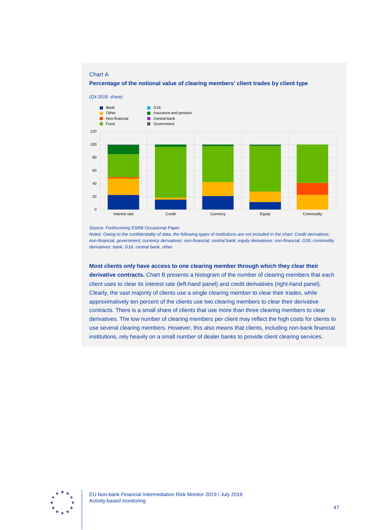### Chart A

**Percentage of the notional value of clearing members' client trades by client type**



*Source: Forthcoming ESRB Occasional Paper.*

*Notes: Owing to the confidentiality of data, the following types of institutions are not included in the chart: Credit derivatives: non-financial, government; currency derivatives: non-financial, central bank; equity derivatives: non-financial, G16; commodity derivatives: bank, G16, central bank, other.*

**Most clients only have access to one clearing member through which they clear their derivative contracts.** Chart B presents a histogram of the number of clearing members that each client uses to clear its interest rate (left-hand panel) and credit derivatives (right-hand panel). Clearly, the vast majority of clients use a single clearing member to clear their trades, while approximatively ten percent of the clients use two clearing members to clear their derivative contracts. There is a small share of clients that use more than three clearing members to clear derivatives. The low number of clearing members per client may reflect the high costs for clients to use several clearing members. However, this also means that clients, including non-bank financial institutions, rely heavily on a small number of dealer banks to provide client clearing services.

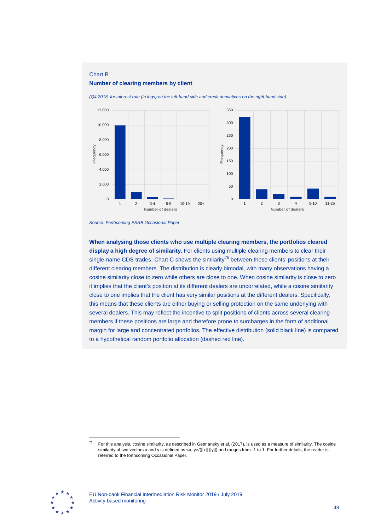## Chart B

#### **Number of clearing members by client**

*(Q4 2018, for interest rate (in logs) on the left-hand side and credit derivatives on the right-hand side)*



*Source: Forthcoming ESRB Occasional Paper.*

**When analysing those clients who use multiple clearing members, the portfolios cleared display a high degree of similarity.** For clients using multiple clearing members to clear their single-name CDS trades, Chart C shows the similarity<sup>[75](#page-48-0)</sup> between these clients' positions at their different clearing members. The distribution is clearly bimodal, with many observations having a cosine similarity close to zero while others are close to one. When cosine similarity is close to zero it implies that the client's position at its different dealers are uncorrelated, while a cosine similarity close to one implies that the client has very similar positions at the different dealers. Specifically, this means that these clients are either buying or selling protection on the same underlying with several dealers. This may reflect the incentive to split positions of clients across several clearing members if these positions are large and therefore prone to surcharges in the form of additional margin for large and concentrated portfolios. The effective distribution (solid black line) is compared to a hypothetical random portfolio allocation (dashed red line).

<span id="page-48-0"></span>

 $75$  For this analysis, cosine similarity, as described in Getmansky et al. (2017), is used as a measure of similarity. The cosine similarity of two vectors x and y is defined as <x, y>/(||x|| ||y||) and ranges from -1 to 1. For further details, the reader is referred to the forthcoming Occasional Paper.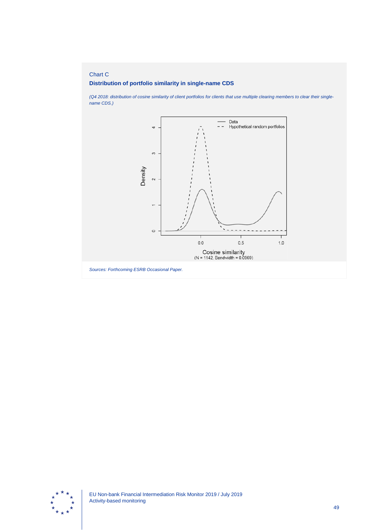# Chart C **Distribution of portfolio similarity in single-name CDS**

*name CDS.)*

Data  $-$ Hypothetical random portfolios 4  $_{\circ}$ Density  $\sim$ 

 $1.0$ 

*(Q4 2018: distribution of cosine similarity of client portfolios for clients that use multiple clearing members to clear their single-*



*Sources: Forthcoming ESRB Occasional Paper.*

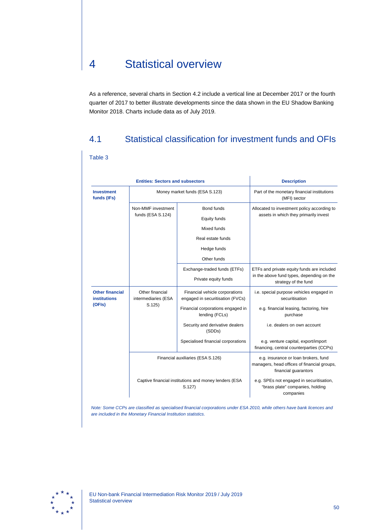# 4 Statistical overview

As a reference, several charts in Section 4.2 include a vertical line at December 2017 or the fourth quarter of 2017 to better illustrate developments since the data shown in the EU Shadow Banking Monitor 2018. Charts include data as of July 2019.

# 4.1 Statistical classification for investment funds and OFIs

## Table 3

| <b>Entities: Sectors and subsectors</b>                 |                                                                |                                                                    | <b>Description</b>                                                                                          |
|---------------------------------------------------------|----------------------------------------------------------------|--------------------------------------------------------------------|-------------------------------------------------------------------------------------------------------------|
| <b>Investment</b><br>funds (IFs)                        | Money market funds (ESA S.123)                                 |                                                                    | Part of the monetary financial institutions<br>(MFI) sector                                                 |
|                                                         | Non-MMF investment<br>funds (ESA S.124)                        | Bond funds                                                         | Allocated to investment policy according to<br>assets in which they primarily invest                        |
|                                                         |                                                                | Equity funds                                                       |                                                                                                             |
|                                                         |                                                                | Mixed funds                                                        |                                                                                                             |
|                                                         |                                                                | Real estate funds                                                  |                                                                                                             |
|                                                         |                                                                | Hedge funds                                                        |                                                                                                             |
|                                                         |                                                                | Other funds                                                        |                                                                                                             |
|                                                         |                                                                | Exchange-traded funds (ETFs)                                       | ETFs and private equity funds are included                                                                  |
|                                                         |                                                                | Private equity funds                                               | in the above fund types, depending on the<br>strategy of the fund                                           |
| <b>Other financial</b><br><b>institutions</b><br>(OFIs) | Other financial<br>intermediaries (ESA<br>S.125                | Financial vehicle corporations<br>engaged in securitisation (FVCs) | i.e. special purpose vehicles engaged in<br>securitisation                                                  |
|                                                         |                                                                | Financial corporations engaged in<br>lending (FCLs)                | e.g. financial leasing, factoring, hire<br>purchase                                                         |
|                                                         |                                                                | Security and derivative dealers<br>(SDD <sub>s</sub> )             | i.e. dealers on own account                                                                                 |
|                                                         |                                                                | Specialised financial corporations                                 | e.g. venture capital, export/import<br>financing, central counterparties (CCPs)                             |
|                                                         | Financial auxiliaries (ESA S.126)                              |                                                                    | e.g. insurance or loan brokers, fund<br>managers, head offices of financial groups,<br>financial guarantors |
|                                                         | Captive financial institutions and money lenders (ESA<br>S.127 |                                                                    | e.g. SPEs not engaged in securitisation,<br>"brass plate" companies, holding<br>companies                   |

*Note: Some CCPs are classified as specialised financial corporations under ESA 2010, while others have bank licences and are included in the Monetary Financial Institution statistics.*

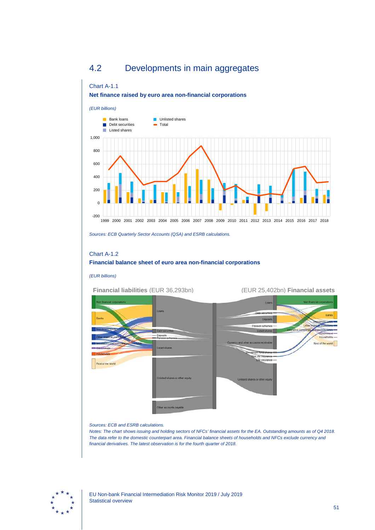# 4.2 Developments in main aggregates

## Chart A-1.1 **Net finance raised by euro area non-financial corporations**



*Sources: ECB Quarterly Sector Accounts (QSA) and ESRB calculations.*

## Chart A-1.2 **Financial balance sheet of euro area non-financial corporations**

#### *(EUR billions)*

## **Financial liabilities** (EUR 36,293bn) (EUR 25,402bn) **Financial assets**



## *Sources: ECB and ESRB calculations.*

*Notes: The chart shows issuing and holding sectors of NFCs' financial assets for the EA. Outstanding amounts as of Q4 2018. The data refer to the domestic counterpart area. Financial balance sheets of households and NFCs exclude currency and financial derivatives. The latest observation is for the fourth quarter of 2018.*

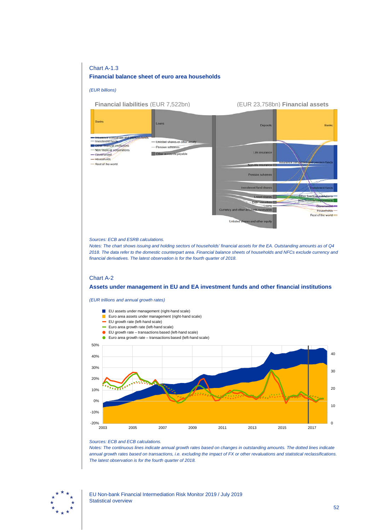## Chart A-1.3

### **Financial balance sheet of euro area households**

*(EUR billions)*



#### *Sources: ECB and ESRB calculations.*

*Notes: The chart shows issuing and holding sectors of households' financial assets for the EA. Outstanding amounts as of Q4 2018. The data refer to the domestic counterpart area. Financial balance sheets of households and NFCs exclude currency and financial derivatives. The latest observation is for the fourth quarter of 2018.*

## Chart A-2

#### **Assets under management in EU and EA investment funds and other financial institutions**

*(EUR trillions and annual growth rates)*



#### *Sources: ECB and ECB calculations.*

*Notes: The continuous lines indicate annual growth rates based on changes in outstanding amounts. The dotted lines indicate annual growth rates based on transactions, i.e. excluding the impact of FX or other revaluations and statistical reclassifications. The latest observation is for the fourth quarter of 2018.*

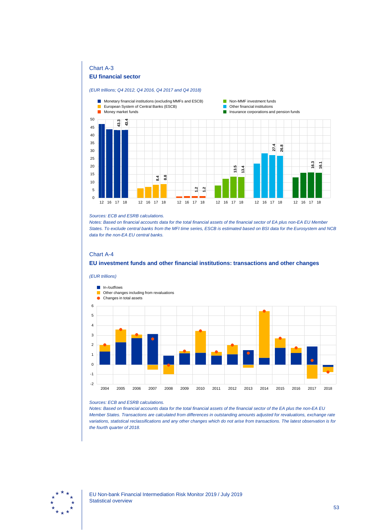## Chart A-3

## **EU financial sector**

#### *(EUR trillions; Q4 2012, Q4 2016, Q4 2017 and Q4 2018)*



#### *Sources: ECB and ESRB calculations.*

*Notes: Based on financial accounts data for the total financial assets of the financial sector of EA plus non-EA EU Member States. To exclude central banks from the MFI time series, ESCB is estimated based on BSI data for the Eurosystem and NCB data for the non-EA EU central banks.*

## Chart A-4

## **EU investment funds and other financial institutions: transactions and other changes**



#### *Sources: ECB and ESRB calculations.*

*Notes: Based on financial accounts data for the total financial assets of the financial sector of the EA plus the non-EA EU Member States. Transactions are calculated from differences in outstanding amounts adjusted for revaluations, exchange rate variations, statistical reclassifications and any other changes which do not arise from transactions. The latest observation is for*  the fourth quarter of 2018.

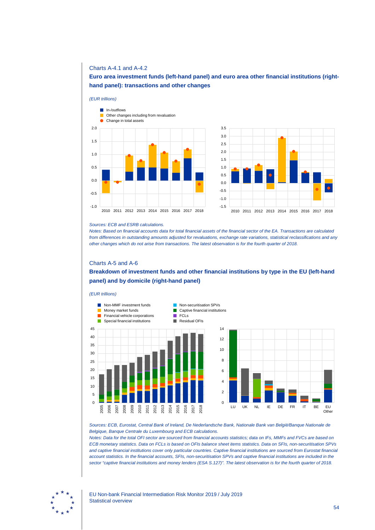### Charts A-4.1 and A-4.2

## **Euro area investment funds (left-hand panel) and euro area other financial institutions (righthand panel): transactions and other changes**





#### *Sources: ECB and ESRB calculations.*

*Notes: Based on financial accounts data for total financial assets of the financial sector of the EA. Transactions are calculated from differences in outstanding amounts adjusted for revaluations, exchange rate variations, statistical reclassifications and any other changes which do not arise from transactions. The latest observation is for the fourth quarter of 2018.*

#### Charts A-5 and A-6

# **Breakdown of investment funds and other financial institutions by type in the EU (left-hand panel) and by domicile (right-hand panel)**





*Sources: ECB, Eurostat, Central Bank of Ireland, De Nederlandsche Bank, Nationale Bank van België/Banque Nationale de Belgique, Banque Centrale du Luxembourg and ECB calculations.*

*Notes: Data for the total OFI sector are sourced from financial accounts statistics; data on IFs, MMFs and FVCs are based on ECB monetary statistics. Data on FCLs is based on OFIs balance sheet items statistics. Data on SFIs, non-securitisation SPVs and captive financial institutions cover only particular countries. Captive financial institutions are sourced from Eurostat financial account statistics. In the financial accounts, SFIs, non-securitisation SPVs and captive financial institutions are included in the sector "captive financial institutions and money lenders (ESA S.127)". The latest observation is for the fourth quarter of 2018.*

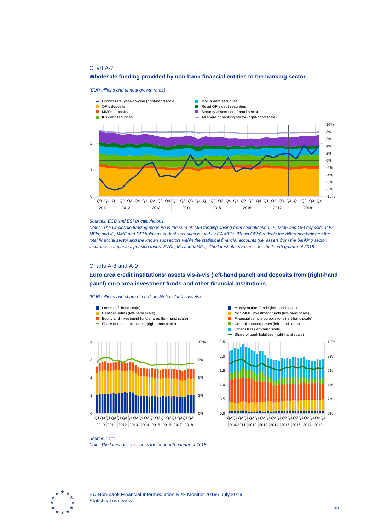since January 2019, aims to make securitisation safer and thereby revive the EU securitisation market by standardising products and ensuring more transparency in the sector.

#### Special-purpose entities<sup>58</sup>  $2.2.2$

Special purpose entities (SPEs) are legal entities created to fulfil narrow, specific and temporary objectives other than securitisation. SPEs are usually part of complex ownership networks within multinational groups and are linked to a range of sponsoring entities at an international level. Often, they engage in transactions on behalf of their parent companies or are set up as an instrument of intra-group financing. Like FVCs, these entities can issue debt securities and may engage in liquidity transformation.

#### The range of activities undertaken by SPEs is broad and varies widely across countries.

According to Central Bank of Ireland data, special purpose vehicles (SPVs) domiciled in Ireland and not engaged in securitisation had €294 billion of assets at the end of 2018 compared with €343 billion at the end of 2017. Financial auxiliaries (39% of assets) and non-financial corporations (29%) sponsored the majority of Irish-domiciled SPV assets. The interconnectedness of these vehicles with the banking sector is low. Banks were direct sponsors of vehicles with assets only amounting to around 13% of the total. In terms of location of the sponsor, around half of the vehicles were sponsored by UK and US institutions, with a significant number sponsored by Russian and Irish entities. The principal activities undertaken by Irish non-securitisation SPVs consisted of intra-group financing, external financing (together accounting for almost 37% of total SPV assets) and investment fund-linked vehicles (30%).

#### Special Financial Institutions (SFIs) constitute the majority of SPEs domiciled in the

Netherlands. Their assets amounted to €4.4 trillion in 2018, with some entities having linkages with other financial firms, including banks. SFIs typically include holding companies, finance companies, royalty companies and reinvoicing companies. The extension of loans, financing activities, receipts of royalties and invoicing conducted by SFIs tends to involve cross-border flows.

# The main risks to financial stability posed by SPEs relate to complex cross-border

interconnectedness with the banking sector and with other parts of the financial system. Moreover, those vehicles engaged in credit intermediation and loan origination require close monitoring to understand their business models and linkages across a range of markets. To this end, more granular cross-country balance sheet data are needed to obtain a system-wide perspective of the linkages of these entities. As the financial crisis demonstrated, the lack of granular information on cross-border linkages and potential contagion channels has inhibited regulators' abilities to identify the build-up of concentration risk within the financial system. Understanding the activities and business models of SPEs and assessing their related financial stability risks requires close cooperation at an international level.



Excluding securitisation-related SPVs.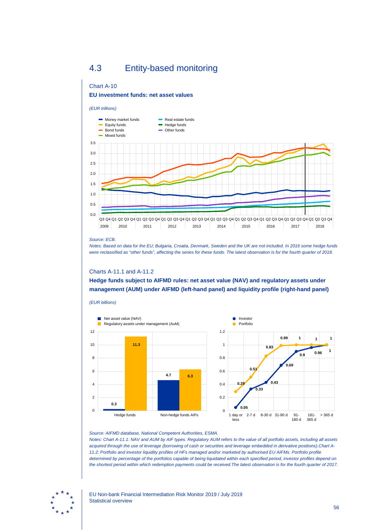# 4.3 Entity-based monitoring

## Chart A-10 **EU investment funds: net asset values**



*Source: ECB.*

*(EUR billions)*

*Notes: Based on data for the EU; Bulgaria, Croatia, Denmark, Sweden and the UK are not included. In 2016 some hedge funds were reclassified as "other funds", affecting the series for these funds. The latest observation is for the fourth quarter of 2018.*

## Charts A-11.1 and A-11.2

**Hedge funds subject to AIFMD rules: net asset value (NAV) and regulatory assets under management (AUM) under AIFMD (left-hand panel) and liquidity profile (right-hand panel)**





#### *Source: AIFMD database, National Competent Authorities, ESMA.*

*Notes: Chart A-11.1: NAV and AUM by AIF types. Regulatory AUM refers to the value of all portfolio assets, including all assets acquired through the use of leverage (borrowing of cash or securities and leverage embedded in derivative positions).Chart A-11.2: Portfolio and investor liquidity profiles of HFs managed and/or marketed by authorised EU AIFMs. Portfolio profile determined by percentage of the portfolios capable of being liquidated within each specified period, investor profiles depend on the shortest period within which redemption payments could be received.The latest observation is for the fourth quarter of 2017.*

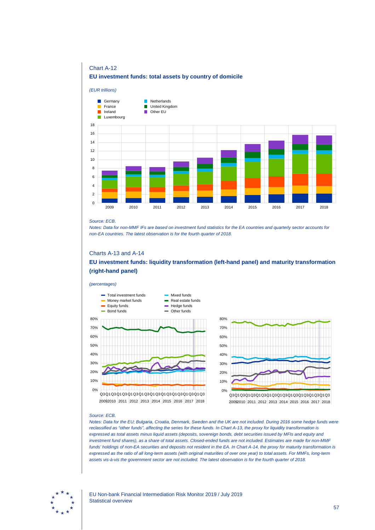## Chart A-12

## **EU investment funds: total assets by country of domicile**



#### *Source: ECB.*

*Notes: Data for non-MMF IFs are based on investment fund statistics for the EA countries and quarterly sector accounts for non-EA countries. The latest observation is for the fourth quarter of 2018.*

## Charts A-13 and A-14

**EU investment funds: liquidity transformation (left-hand panel) and maturity transformation (right-hand panel)**

#### *(percentages)*





#### *Source: ECB.*

*Notes: Data for the EU; Bulgaria, Croatia, Denmark, Sweden and the UK are not included. During 2016 some hedge funds were*  reclassified as "other funds", affecting the series for these funds. In Chart A-13, the proxy for liquidity transformation is *expressed as total assets minus liquid assets (deposits, sovereign bonds, debt securities issued by MFIs and equity and investment fund shares), as a share of total assets. Closed-ended funds are not included. Estimates are made for non-MMF funds' holdings of non-EA securities and deposits not resident in the EA. In Chart A-14, the proxy for maturity transformation is expressed as the ratio of all long-term assets (with original maturities of over one year) to total assets. For MMFs, long-term assets vis-à-vis the government sector are not included. The latest observation is for the fourth quarter of 2018.*

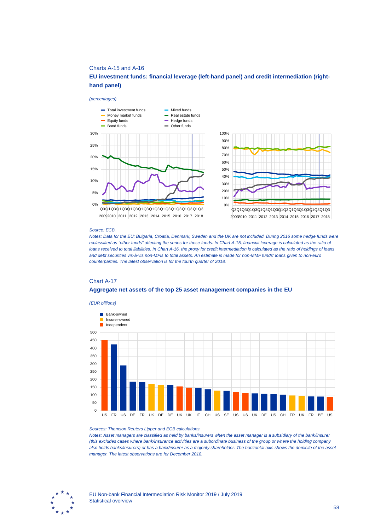## Charts A-15 and A-16

## **EU investment funds: financial leverage (left-hand panel) and credit intermediation (righthand panel)**

#### *(percentages)*





#### *Source: ECB.*

*Notes: Data for the EU; Bulgaria, Croatia, Denmark, Sweden and the UK are not included. During 2016 some hedge funds were*  reclassified as "other funds" affecting the series for these funds. In Chart A-15, financial leverage is calculated as the ratio of *loans received to total liabilities. In Chart A-16, the proxy for credit intermediation is calculated as the ratio of holdings of loans and debt securities vis-à-vis non-MFIs to total assets. An estimate is made for non-MMF funds' loans given to non-euro counterparties. The latest observation is for the fourth quarter of 2018.*

## Chart A-17 **Aggregate net assets of the top 25 asset management companies in the EU**



*(EUR billions)*

*Sources: Thomson Reuters Lipper and ECB calculations.*

*Notes: Asset managers are classified as held by banks/insurers when the asset manager is a subsidiary of the bank/insurer (this excludes cases where bank/insurance activities are a subordinate business of the group or where the holding company also holds banks/insurers) or has a bank/insurer as a majority shareholder. The horizontal axis shows the domicile of the asset manager. The latest observations are for December 2018.*

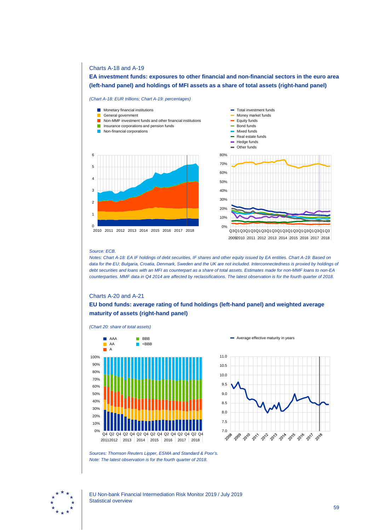## Charts A-18 and A-19

**EA investment funds: exposures to other financial and non-financial sectors in the euro area (left-hand panel) and holdings of MFI assets as a share of total assets (right-hand panel)**

*(Chart A-18: EUR trillions; Chart A-19: percentages)*



## *Source: ECB.*

*Notes: Chart A-18: EA IF holdings of debt securities, IF shares and other equity issued by EA entities. Chart A-19: Based on data for the EU; Bulgaria, Croatia, Denmark, Sweden and the UK are not included. Interconnectedness is proxied by holdings of debt securities and loans with an MFI as counterpart as a share of total assets. Estimates made for non-MMF loans to non-EA counterparties. MMF data in Q4 2014 are affected by reclassifications. The latest observation is for the fourth quarter of 2018.*

## Charts A-20 and A-21

*(Chart 20: share of total assets)*

## **EU bond funds: average rating of fund holdings (left-hand panel) and weighted average maturity of assets (right-hand panel)**





Average effective maturity in years



EU Non-bank Financial Intermediation Risk Monitor 2019 / July 2019 Statistical overview

*Sources: Thomson Reuters Lipper, ESMA and Standard & Poor's. Note: The latest observation is for the fourth quarter of 2018.*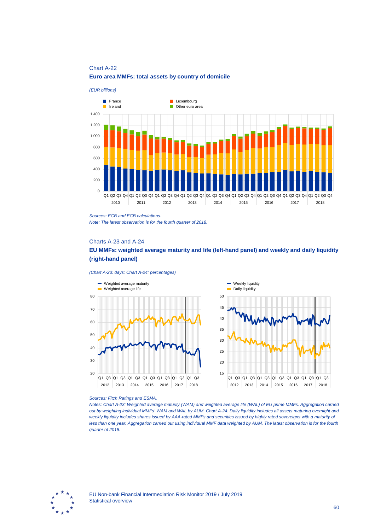

# Chart A-22 **Euro area MMFs: total assets by country of domicile**

*Note: The latest observation is for the fourth quarter of 2018.*

## Charts A-23 and A-24

## **EU MMFs: weighted average maturity and life (left-hand panel) and weekly and daily liquidity (right-hand panel)**

#### *(Chart A-23: days; Chart A-24: percentages)*



#### *Sources: Fitch Ratings and ESMA.*

*Notes: Chart A-23: Weighted average maturity (WAM) and weighted average life (WAL) of EU prime MMFs. Aggregation carried out by weighting individual MMFs' WAM and WAL by AUM. Chart A-24: Daily liquidity includes all assets maturing overnight and weekly liquidity includes shares issued by AAA-rated MMFs and securities issued by highly rated sovereigns with a maturity of less than one year. Aggregation carried out using individual MMF data weighted by AUM. The latest observation is for the fourth quarter of 2018.*



*Sources: ECB and ECB calculations.*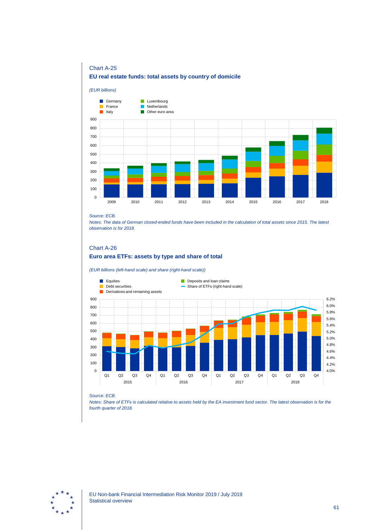# Chart A-25 **EU real estate funds: total assets by country of domicile**

*(EUR billions)* Germany **Luxembourg** France **Netherlands** П Ē **Other euro area** Italy 900 800 700 600 500 400 300 200 100  $\theta$ 2009 2010 2011 2012 2013 2014 2015 2016 2017 2018

#### *Source: ECB.*

*Notes: The data of German closed-ended funds have been included in the calculation of total assets since 2015. The latest observation is for 2018.*

# Chart A-26 **Euro area ETFs: assets by type and share of total**

*(EUR billions (left-hand scale) and share (right-hand scale))*



#### *Source: ECB.*

*Notes: Share of ETFs is calculated relative to assets held by the EA investment fund sector. The latest observation is for the fourth quarter of 2018.*

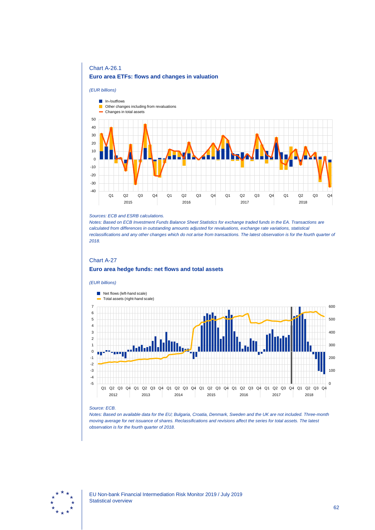# Chart A-26.1 **Euro area ETFs: flows and changes in valuation**



#### *Sources: ECB and ESRB calculations.*

*Notes: Based on ECB Investment Funds Balance Sheet Statistics for exchange traded funds in the EA. Transactions are calculated from differences in outstanding amounts adjusted for revaluations, exchange rate variations, statistical reclassifications and any other changes which do not arise from transactions. The latest observation is for the fourth quarter of 2018.*

# Chart A-27 **Euro area hedge funds: net flows and total assets**

#### *(EUR billions)*



#### *Source: ECB.*

*Notes: Based on available data for the EU; Bulgaria, Croatia, Denmark, Sweden and the UK are not included. Three-month moving average for net issuance of shares. Reclassifications and revisions affect the series for total assets. The latest observation is for the fourth quarter of 2018.*

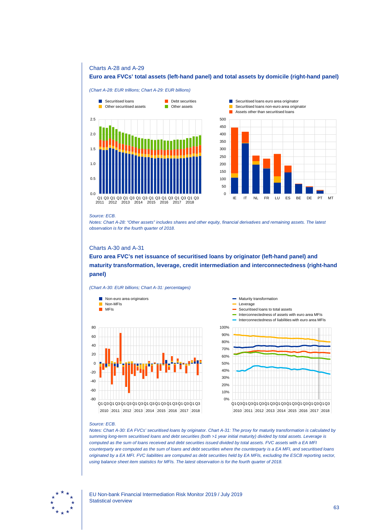### Charts A-28 and A-29

## **Euro area FVCs' total assets (left-hand panel) and total assets by domicile (right-hand panel)**

#### *(Chart A-28: EUR trillions; Chart A-29: EUR billions)*





#### *Source: ECB.*

*Notes: Chart A-28: "Other assets" includes shares and other equity, financial derivatives and remaining assets. The latest observation is for the fourth quarter of 2018.*

## Charts A-30 and A-31

# **Euro area FVC's net issuance of securitised loans by originator (left-hand panel) and maturity transformation, leverage, credit intermediation and interconnectedness (right-hand panel)**

*(Chart A-30: EUR billions; Chart A-31: percentages)*





#### *Source: ECB.*

*Notes: Chart A-30: EA FVCs' securitised loans by originator. Chart A-31: The proxy for maturity transformation is calculated by summing long-term securitised loans and debt securities (both >1 year initial maturity) divided by total assets. Leverage is computed as the sum of loans received and debt securities issued divided by total assets. FVC assets with a EA MFI counterparty are computed as the sum of loans and debt securities where the counterparty is a EA MFI, and securitised loans originated by a EA MFI. FVC liabilities are computed as debt securities held by EA MFIs, excluding the ESCB reporting sector, using balance sheet item statistics for MFIs. The latest observation is for the fourth quarter of 2018.*

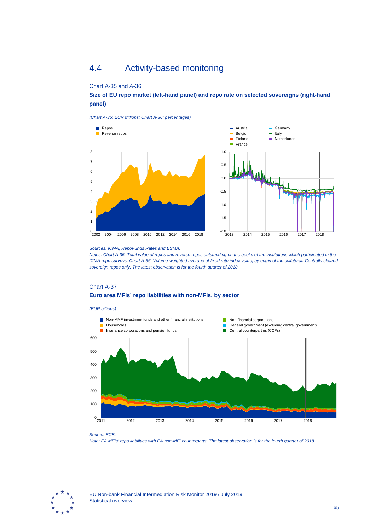# 4.4 Activity-based monitoring

## Chart A-35 and A-36

**Size of EU repo market (left-hand panel) and repo rate on selected sovereigns (right-hand panel)**

*(Chart A-35: EUR trillions; Chart A-36: percentages)*



*Sources: ICMA, RepoFunds Rates and ESMA.*

*Notes: Chart A-35: Total value of repos and reverse repos outstanding on the books of the institutions which participated in the ICMA repo surveys. Chart A-36: Volume-weighted average of fixed rate index value, by origin of the collateral. Centrally cleared sovereign repos only. The latest observation is for the fourth quarter of 2018.*

# Chart A-37 **Euro area MFIs' repo liabilities with non-MFIs, by sector**



*Source: ECB.*

*Note: EA MFIs' repo liabilities with EA non-MFI counterparts. The latest observation is for the fourth quarter of 2018.*

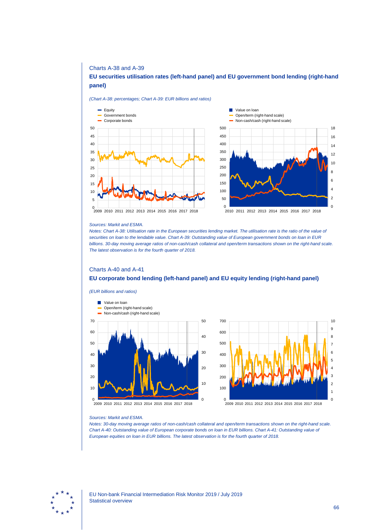### Charts A-38 and A-39

## **EU securities utilisation rates (left-hand panel) and EU government bond lending (right-hand panel)**

*(Chart A-38: percentages; Chart A-39: EUR billions and ratios)*





#### *Sources: Markit and ESMA.*

*Notes: Chart A-38: Utilisation rate in the European securities lending market. The utilisation rate is the ratio of the value of securities on loan to the lendable value. Chart A-39: Outstanding value of European government bonds on loan in EUR billions. 30-day moving average ratios of non-cash/cash collateral and open/term transactions shown on the right-hand scale. The latest observation is for the fourth quarter of 2018.*

### Charts A-40 and A-41

### **EU corporate bond lending (left-hand panel) and EU equity lending (right-hand panel)**





#### *Sources: Markit and ESMA.*

*Notes: 30-day moving average ratios of non-cash/cash collateral and open/term transactions shown on the right-hand scale. Chart A-40: Outstanding value of European corporate bonds on loan in EUR billions. Chart A-41: Outstanding value of European equities on loan in EUR billions. The latest observation is for the fourth quarter of 2018.*

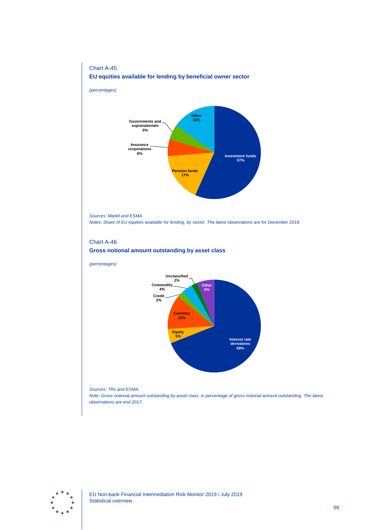# Chart A-45 **EU equities available for lending by beneficial owner sector**

*(percentages)*



*Sources: Markit and ESMA.*

*Notes: Share of EU equities available for lending, by sector. The latest observations are for December 2018.*

## Chart A-46



*(percentages)*



*Sources: TRs and ESMA.*

*Note: Gross notional amount outstanding by asset class, in percentage of gross notional amount outstanding. The latest observations are end 2017.*

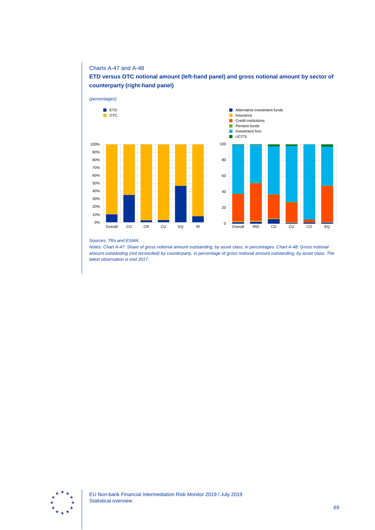## Charts A-47 and A-48

# **ETD versus OTC notional amount (left-hand panel) and gross notional amount by sector of counterparty (right-hand panel)**



#### *Sources: TRs and ESMA.*

*Notes: Chart A-47: Share of gross notional amount outstanding, by asset class, in percentages. Chart A-48: Gross notional amount outstanding (not reconciled) by counterparty, in percentage of gross notional amount outstanding, by asset class. The latest observation is end 2017.*

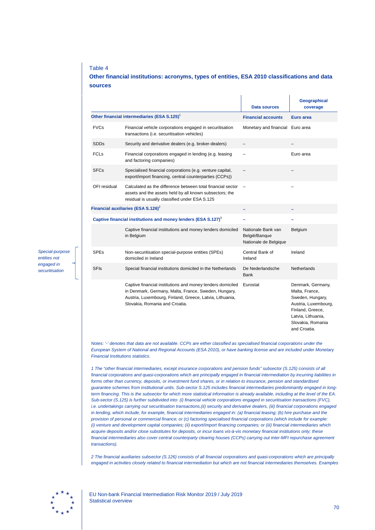## Table 4

## **Other financial institutions: acronyms, types of entities, ESA 2010 classifications and data sources**

|                                                                           |                                                                                                                                                                                                                  | Data sources                                                 | <b>Geographical</b><br>coverage                                                                                                                                |
|---------------------------------------------------------------------------|------------------------------------------------------------------------------------------------------------------------------------------------------------------------------------------------------------------|--------------------------------------------------------------|----------------------------------------------------------------------------------------------------------------------------------------------------------------|
| Other financial intermediaries (ESA S.125) <sup>1</sup>                   |                                                                                                                                                                                                                  | <b>Financial accounts</b>                                    | Euro area                                                                                                                                                      |
| <b>FVCs</b>                                                               | Financial vehicle corporations engaged in securitisation<br>transactions (i.e. securitisation vehicles)                                                                                                          | Monetary and financial Euro area                             |                                                                                                                                                                |
| <b>SDDs</b>                                                               | Security and derivative dealers (e.g. broker-dealers)                                                                                                                                                            |                                                              |                                                                                                                                                                |
| <b>FCLs</b>                                                               | Financial corporations engaged in lending (e.g. leasing<br>and factoring companies)                                                                                                                              |                                                              | Euro area                                                                                                                                                      |
| <b>SFCs</b>                                                               | Specialised financial corporations (e.g. venture capital,<br>export/import financing, central counterparties (CCPs))                                                                                             |                                                              |                                                                                                                                                                |
| OFI residual                                                              | Calculated as the difference between total financial sector<br>assets and the assets held by all known subsectors; the<br>residual is usually classified under ESA S.125                                         |                                                              |                                                                                                                                                                |
|                                                                           | Financial auxiliaries (ESA S.126) <sup>2</sup>                                                                                                                                                                   |                                                              |                                                                                                                                                                |
| Captive financial institutions and money lenders (ESA S.127) <sup>3</sup> |                                                                                                                                                                                                                  |                                                              |                                                                                                                                                                |
|                                                                           | Captive financial institutions and money lenders domiciled<br>in Belgium                                                                                                                                         | Nationale Bank van<br>België/Banque<br>Nationale de Belgique | Belgium                                                                                                                                                        |
| <b>SPEs</b>                                                               | Non-securitisation special-purpose entities (SPEs)<br>domiciled in Ireland                                                                                                                                       | Central Bank of<br>Ireland                                   | Ireland                                                                                                                                                        |
| <b>SFIs</b>                                                               | Special financial institutions domiciled in the Netherlands                                                                                                                                                      | De Nederlandsche<br><b>Bank</b>                              | <b>Netherlands</b>                                                                                                                                             |
|                                                                           | Captive financial institutions and money lenders domiciled<br>in Denmark, Germany, Malta, France, Sweden, Hungary,<br>Austria, Luxembourg, Finland, Greece, Latvia, Lithuania,<br>Slovakia, Romania and Croatia. | Eurostat                                                     | Denmark, Germany,<br>Malta, France,<br>Sweden, Hungary,<br>Austria, Luxembourg,<br>Finland, Greece,<br>Latvia, Lithuania,<br>Slovakia, Romania<br>and Croatia. |

*Notes: '-' denotes that data are not available. CCPs are either classified as specialised financial corporations under the European System of National and Regional Accounts (ESA 2010), or have banking license and are included under Monetary Financial Institutions statistics.* 

*1 The "other financial intermediaries, except insurance corporations and pension funds" subsector (S.125) consists of all financial corporations and quasi-corporations which are principally engaged in financial intermediation by incurring liabilities in forms other than currency, deposits, or investment fund shares, or in relation to insurance, pension and standardised guarantee schemes from institutional units. Sub-sector S.125 includes financial intermediaries predominantly engaged in longterm financing. This is the subsector for which more statistical information is already available, including at the level of the EA. Sub-sector (S.125) is further subdivided into: (i) financial vehicle corporations engaged in securitisation transactions (FVC), i.e. undertakings carrying out securitisation transactions,(ii) security and derivative dealers, (iii) financial corporations engaged in lending, which include, for example, financial intermediaries engaged in: (a) financial leasing; (b) hire purchase and the provision of personal or commercial finance; or (c) factoring specialised financial corporations (which include for example: (i) venture and development capital companies; (ii) export/import financing companies; or (iii) financial intermediaries which acquire deposits and/or close substitutes for deposits, or incur loans vis-à-vis monetary financial institutions only; these financial intermediaries also cover central counterparty clearing houses (CCPs) carrying out inter-MFI repurchase agreement transactions).*

*2 The financial auxiliaries subsector (S.126) consists of all financial corporations and quasi-corporations which are principally engaged in activities closely related to financial intermediation but which are not financial intermediaries themselves. Examples* 



*Special-purpose entities not engaged in securitisation*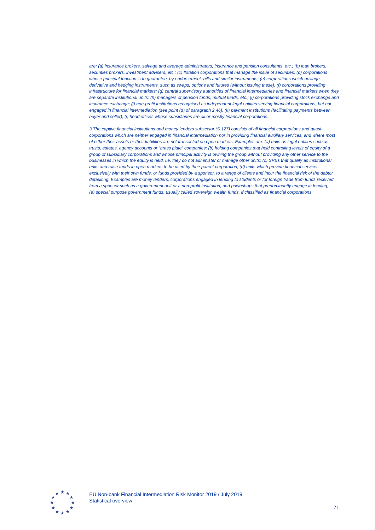*are: (a) insurance brokers, salvage and average administrators, insurance and pension consultants, etc.; (b) loan brokers, securities brokers, investment advisers, etc.; (c) flotation corporations that manage the issue of securities; (d) corporations whose principal function is to guarantee, by endorsement, bills and similar instruments; (e) corporations which arrange derivative and hedging instruments, such as swaps, options and futures (without issuing these); (f) corporations providing infrastructure for financial markets; (g) central supervisory authorities of financial intermediaries and financial markets when they are separate institutional units; (h) managers of pension funds, mutual funds, etc.; (i) corporations providing stock exchange and insurance exchange; (j) non-profit institutions recognised as independent legal entities serving financial corporations, but not engaged in financial intermediation (see point (d) of paragraph 2.46); (k) payment institutions (facilitating payments between buyer and seller); (i) head offices whose subsidiaries are all or mostly financial corporations.*

*3 The captive financial institutions and money lenders subsector (S.127) consists of all financial corporations and quasicorporations which are neither engaged in financial intermediation nor in providing financial auxiliary services, and where most of either their assets or their liabilities are not transacted on open markets. Examples are: (a) units as legal entities such as trusts, estates, agency accounts or "brass plate" companies; (b) holding companies that hold controlling levels of equity of a group of subsidiary corporations and whose principal activity is owning the group without providing any other service to the businesses in which the equity is held, i.e. they do not administer or manage other units; (c) SPEs that qualify as institutional units and raise funds in open markets to be used by their parent corporation; (d) units which provide financial services exclusively with their own funds, or funds provided by a sponsor, to a range of clients and incur the financial risk of the debtor defaulting. Examples are money lenders, corporations engaged in lending to students or for foreign trade from funds received from a sponsor such as a government unit or a non-profit institution, and pawnshops that predominantly engage in lending; (e) special purpose government funds, usually called sovereign wealth funds, if classified as financial corporations.*

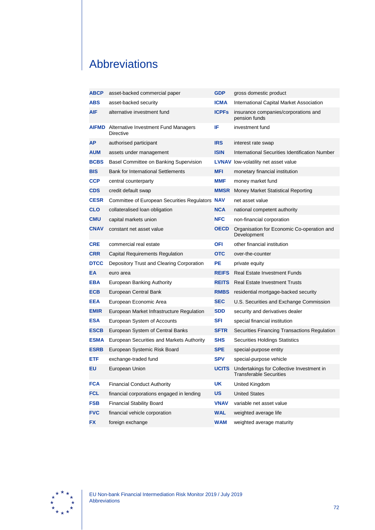## Abbreviations

| <b>ABCP</b> | asset-backed commercial paper                                         | <b>GDP</b>   | gross domestic product                                                      |
|-------------|-----------------------------------------------------------------------|--------------|-----------------------------------------------------------------------------|
| <b>ABS</b>  | asset-backed security                                                 | <b>ICMA</b>  | International Capital Market Association                                    |
| AIF         | alternative investment fund                                           | <b>ICPFs</b> | insurance companies/corporations and<br>pension funds                       |
|             | <b>AIFMD</b> Alternative Investment Fund Managers<br><b>Directive</b> | IF           | investment fund                                                             |
| AP          | authorised participant                                                | <b>IRS</b>   | interest rate swap                                                          |
| AUM         | assets under management                                               | <b>ISIN</b>  | International Securities Identification Number                              |
| <b>BCBS</b> | Basel Committee on Banking Supervision                                |              | <b>LVNAV</b> low-volatility net asset value                                 |
| <b>BIS</b>  | <b>Bank for International Settlements</b>                             | MFI          | monetary financial institution                                              |
| <b>CCP</b>  | central counterparty                                                  | MMF          | money market fund                                                           |
| CDS         | credit default swap                                                   | <b>MMSR</b>  | Money Market Statistical Reporting                                          |
| <b>CESR</b> | Committee of European Securities Regulators NAV                       |              | net asset value                                                             |
| <b>CLO</b>  | collateralised loan obligation                                        | <b>NCA</b>   | national competent authority                                                |
| CMU         | capital markets union                                                 | <b>NFC</b>   | non-financial corporation                                                   |
| <b>CNAV</b> | constant net asset value                                              | <b>OECD</b>  | Organisation for Economic Co-operation and<br>Development                   |
| <b>CRE</b>  | commercial real estate                                                | OFI          | other financial institution                                                 |
| <b>CRR</b>  | Capital Requirements Regulation                                       | отс          | over-the-counter                                                            |
| <b>DTCC</b> | Depository Trust and Clearing Corporation                             | PE           | private equity                                                              |
| ΕA          | euro area                                                             | <b>REIFS</b> | <b>Real Estate Investment Funds</b>                                         |
| EBA         | European Banking Authority                                            | <b>REITS</b> | <b>Real Estate Investment Trusts</b>                                        |
| <b>ECB</b>  | European Central Bank                                                 | <b>RMBS</b>  | residential mortgage-backed security                                        |
| <b>EEA</b>  | European Economic Area                                                | <b>SEC</b>   | U.S. Securities and Exchange Commission                                     |
| <b>EMIR</b> | European Market Infrastructure Regulation                             | <b>SDD</b>   | security and derivatives dealer                                             |
| ESA         | European System of Accounts                                           | SFI          | special financial institution                                               |
| <b>ESCB</b> | European System of Central Banks                                      | <b>SFTR</b>  | Securities Financing Transactions Regulation                                |
| <b>ESMA</b> | European Securities and Markets Authority                             | <b>SHS</b>   | Securities Holdings Statistics                                              |
| <b>ESRB</b> | European Systemic Risk Board                                          | <b>SPE</b>   | special-purpose entity                                                      |
| ETF.        | exchange-traded fund                                                  | <b>SPV</b>   | special-purpose vehicle                                                     |
| EU          | European Union                                                        | <b>UCITS</b> | Undertakings for Collective Investment in<br><b>Transferable Securities</b> |
| <b>FCA</b>  | <b>Financial Conduct Authority</b>                                    | <b>UK</b>    | United Kingdom                                                              |
| <b>FCL</b>  | financial corporations engaged in lending                             | US           | <b>United States</b>                                                        |
| <b>FSB</b>  | <b>Financial Stability Board</b>                                      | VNAV         | variable net asset value                                                    |
| <b>FVC</b>  | financial vehicle corporation                                         | <b>WAL</b>   | weighted average life                                                       |
| <b>FX</b>   | foreign exchange                                                      | <b>WAM</b>   | weighted average maturity                                                   |